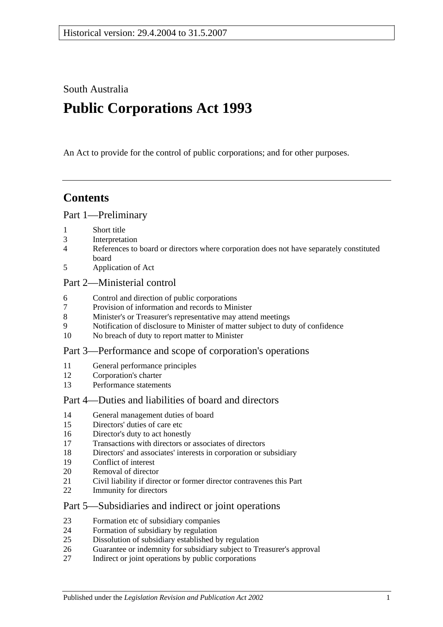South Australia

# **Public Corporations Act 1993**

An Act to provide for the control of public corporations; and for other purposes.

## **Contents**

#### [Part 1—Preliminary](#page-2-0)

- [Short title](#page-2-1)
- [Interpretation](#page-2-2)
- [References to board or directors where corporation does not have separately constituted](#page-4-0)  [board](#page-4-0)
- [Application of Act](#page-4-1)

#### [Part 2—Ministerial control](#page-5-0)

- [Control and direction of public corporations](#page-5-1)
- [Provision of information and records to Minister](#page-6-0)
- [Minister's or Treasurer's representative may attend meetings](#page-6-1)
- [Notification of disclosure to Minister of matter subject to duty of confidence](#page-6-2)
- [No breach of duty to report matter to Minister](#page-6-3)

#### [Part 3—Performance and scope of corporation's operations](#page-7-0)

- [General performance principles](#page-7-1)
- [Corporation's charter](#page-7-2)
- [Performance statements](#page-8-0)

## [Part 4—Duties and liabilities of board and directors](#page-8-1)

- [General management duties of board](#page-8-2)
- [Directors' duties of care etc](#page-9-0)
- [Director's duty to act honestly](#page-10-0)
- [Transactions with directors or associates of directors](#page-10-1)
- [Directors' and associates' interests in corporation or subsidiary](#page-11-0)
- [Conflict of interest](#page-12-0)
- [Removal of director](#page-13-0)
- [Civil liability if director or former director contravenes this Part](#page-13-1)
- [Immunity for directors](#page-13-2)

#### [Part 5—Subsidiaries and indirect or joint operations](#page-13-3)

- [Formation etc of subsidiary companies](#page-13-4)
- [Formation of subsidiary by regulation](#page-14-0)
- [Dissolution of subsidiary established by regulation](#page-14-1)
- [Guarantee or indemnity for subsidiary subject to Treasurer's approval](#page-15-0)
- [Indirect or joint operations by public corporations](#page-15-1)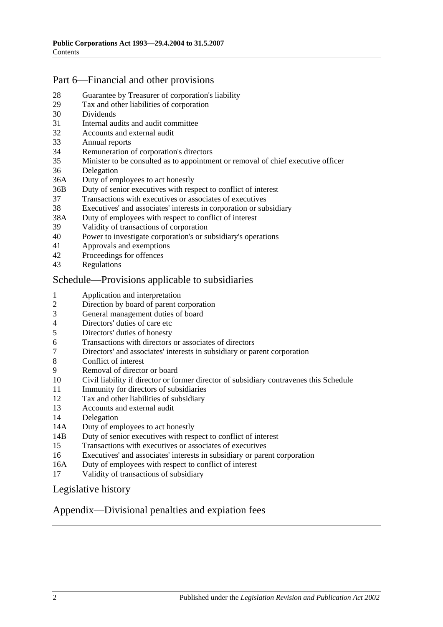## [Part 6—Financial and other provisions](#page-15-2)

- [Guarantee by Treasurer of corporation's liability](#page-15-3)
- [Tax and other liabilities of corporation](#page-15-4)
- [Dividends](#page-16-0)
- [Internal audits and audit committee](#page-16-1)
- [Accounts and external audit](#page-17-0)
- [Annual reports](#page-17-1)
- [Remuneration of corporation's directors](#page-18-0)
- [Minister to be consulted as to appointment or removal of chief executive officer](#page-18-1)
- [Delegation](#page-18-2)
- 36A [Duty of employees to act honestly](#page-19-0)
- 36B [Duty of senior executives with respect to conflict of interest](#page-19-1)
- [Transactions with executives or associates of executives](#page-21-0)
- [Executives' and associates' interests in corporation or subsidiary](#page-22-0)
- 38A [Duty of employees with respect to conflict of interest](#page-23-0)
- [Validity of transactions of corporation](#page-24-0)
- [Power to investigate corporation's or subsidiary's operations](#page-24-1)
- [Approvals and exemptions](#page-26-0)
- [Proceedings for offences](#page-26-1)<br>43 Regulations
- **[Regulations](#page-27-0)**

#### [Schedule—Provisions applicable to subsidiaries](#page-27-1)

- [Application and interpretation](#page-27-2)
- [Direction by board of parent corporation](#page-27-3)
- [General management duties of board](#page-27-4)
- [Directors' duties of care etc](#page-28-0)
- [Directors' duties of honesty](#page-28-1)
- [Transactions with directors or associates of directors](#page-29-0)
- [Directors' and associates' interests in subsidiary or parent corporation](#page-30-0)
- [Conflict of interest](#page-30-1)
- [Removal of director or board](#page-31-0)
- [Civil liability if director or former director of subsidiary contravenes this Schedule](#page-31-1)
- [Immunity for directors of subsidiaries](#page-32-0)
- [Tax and other liabilities of subsidiary](#page-32-1)
- [Accounts and external audit](#page-32-2)
- [Delegation](#page-33-0)
- 14A [Duty of employees to act honestly](#page-34-0)
- 14B [Duty of senior executives with respect to conflict of interest](#page-34-1)
- [Transactions with executives or associates of executives](#page-36-0)
- [Executives' and associates' interests in subsidiary or parent corporation](#page-37-0)
- 16A [Duty of employees with respect to conflict of interest](#page-38-0)
- [Validity of transactions of subsidiary](#page-39-0)

#### [Legislative history](#page-41-0)

#### [Appendix—Divisional penalties and expiation fees](#page-42-0)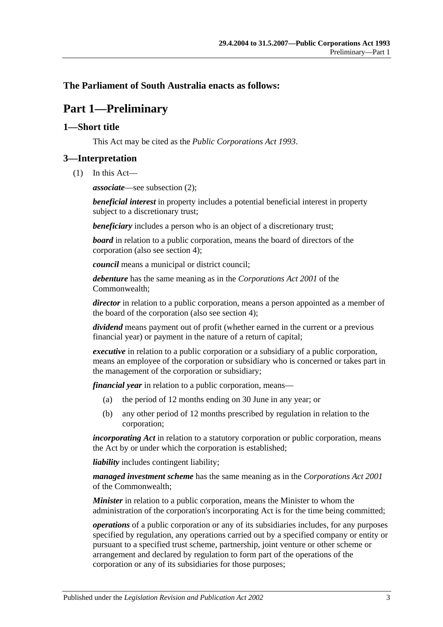### <span id="page-2-0"></span>**The Parliament of South Australia enacts as follows:**

## **Part 1—Preliminary**

#### <span id="page-2-1"></span>**1—Short title**

This Act may be cited as the *Public Corporations Act 1993*.

### <span id="page-2-2"></span>**3—Interpretation**

(1) In this Act—

*associate*—see [subsection](#page-3-0) (2);

*beneficial interest* in property includes a potential beneficial interest in property subject to a discretionary trust;

*beneficiary* includes a person who is an object of a discretionary trust;

*board* in relation to a public corporation, means the board of directors of the corporation (also see [section](#page-4-0) 4);

*council* means a municipal or district council;

*debenture* has the same meaning as in the *Corporations Act 2001* of the Commonwealth;

*director* in relation to a public corporation, means a person appointed as a member of the board of the corporation (also see [section](#page-4-0) 4);

*dividend* means payment out of profit (whether earned in the current or a previous financial year) or payment in the nature of a return of capital;

*executive* in relation to a public corporation or a subsidiary of a public corporation, means an employee of the corporation or subsidiary who is concerned or takes part in the management of the corporation or subsidiary;

*financial year* in relation to a public corporation, means—

- (a) the period of 12 months ending on 30 June in any year; or
- (b) any other period of 12 months prescribed by regulation in relation to the corporation;

*incorporating Act* in relation to a statutory corporation or public corporation, means the Act by or under which the corporation is established;

*liability* includes contingent liability;

*managed investment scheme* has the same meaning as in the *Corporations Act 2001* of the Commonwealth;

*Minister* in relation to a public corporation, means the Minister to whom the administration of the corporation's incorporating Act is for the time being committed;

*operations* of a public corporation or any of its subsidiaries includes, for any purposes specified by regulation, any operations carried out by a specified company or entity or pursuant to a specified trust scheme, partnership, joint venture or other scheme or arrangement and declared by regulation to form part of the operations of the corporation or any of its subsidiaries for those purposes;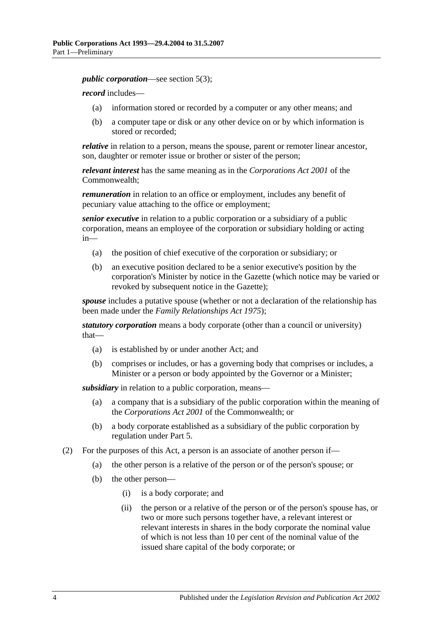*public corporation*—see [section](#page-4-2) 5(3);

*record* includes—

- (a) information stored or recorded by a computer or any other means; and
- (b) a computer tape or disk or any other device on or by which information is stored or recorded;

*relative* in relation to a person, means the spouse, parent or remoter linear ancestor, son, daughter or remoter issue or brother or sister of the person;

*relevant interest* has the same meaning as in the *Corporations Act 2001* of the Commonwealth;

*remuneration* in relation to an office or employment, includes any benefit of pecuniary value attaching to the office or employment;

*senior executive* in relation to a public corporation or a subsidiary of a public corporation, means an employee of the corporation or subsidiary holding or acting in—

- (a) the position of chief executive of the corporation or subsidiary; or
- (b) an executive position declared to be a senior executive's position by the corporation's Minister by notice in the Gazette (which notice may be varied or revoked by subsequent notice in the Gazette);

*spouse* includes a putative spouse (whether or not a declaration of the relationship has been made under the *[Family Relationships Act](http://www.legislation.sa.gov.au/index.aspx?action=legref&type=act&legtitle=Family%20Relationships%20Act%201975) 1975*);

*statutory corporation* means a body corporate (other than a council or university) that—

- (a) is established by or under another Act; and
- (b) comprises or includes, or has a governing body that comprises or includes, a Minister or a person or body appointed by the Governor or a Minister;

*subsidiary* in relation to a public corporation, means—

- (a) a company that is a subsidiary of the public corporation within the meaning of the *Corporations Act 2001* of the Commonwealth; or
- (b) a body corporate established as a subsidiary of the public corporation by regulation under [Part 5.](#page-13-3)
- <span id="page-3-1"></span><span id="page-3-0"></span>(2) For the purposes of this Act, a person is an associate of another person if—
	- (a) the other person is a relative of the person or of the person's spouse; or
	- (b) the other person—
		- (i) is a body corporate; and
		- (ii) the person or a relative of the person or of the person's spouse has, or two or more such persons together have, a relevant interest or relevant interests in shares in the body corporate the nominal value of which is not less than 10 per cent of the nominal value of the issued share capital of the body corporate; or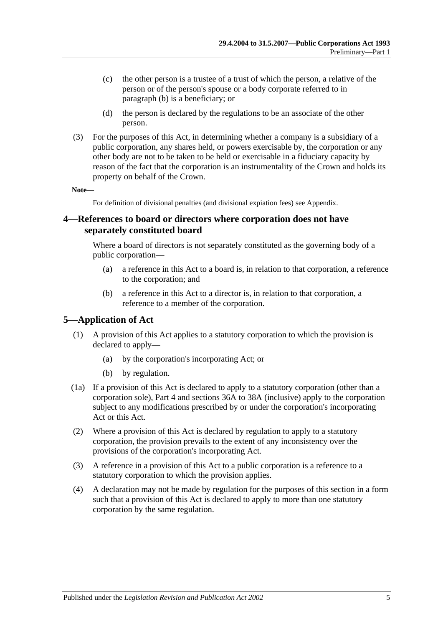- (c) the other person is a trustee of a trust of which the person, a relative of the person or of the person's spouse or a body corporate referred to in [paragraph](#page-3-1) (b) is a beneficiary; or
- (d) the person is declared by the regulations to be an associate of the other person.
- (3) For the purposes of this Act, in determining whether a company is a subsidiary of a public corporation, any shares held, or powers exercisable by, the corporation or any other body are not to be taken to be held or exercisable in a fiduciary capacity by reason of the fact that the corporation is an instrumentality of the Crown and holds its property on behalf of the Crown.

**Note—**

For definition of divisional penalties (and divisional expiation fees) see Appendix.

#### <span id="page-4-0"></span>**4—References to board or directors where corporation does not have separately constituted board**

Where a board of directors is not separately constituted as the governing body of a public corporation—

- (a) a reference in this Act to a board is, in relation to that corporation, a reference to the corporation; and
- (b) a reference in this Act to a director is, in relation to that corporation, a reference to a member of the corporation.

#### <span id="page-4-1"></span>**5—Application of Act**

- (1) A provision of this Act applies to a statutory corporation to which the provision is declared to apply—
	- (a) by the corporation's incorporating Act; or
	- (b) by regulation.
- (1a) If a provision of this Act is declared to apply to a statutory corporation (other than a corporation sole), [Part 4](#page-8-1) and [sections](#page-19-0) 36A to [38A](#page-23-0) (inclusive) apply to the corporation subject to any modifications prescribed by or under the corporation's incorporating Act or this Act.
- (2) Where a provision of this Act is declared by regulation to apply to a statutory corporation, the provision prevails to the extent of any inconsistency over the provisions of the corporation's incorporating Act.
- <span id="page-4-2"></span>(3) A reference in a provision of this Act to a public corporation is a reference to a statutory corporation to which the provision applies.
- (4) A declaration may not be made by regulation for the purposes of this section in a form such that a provision of this Act is declared to apply to more than one statutory corporation by the same regulation.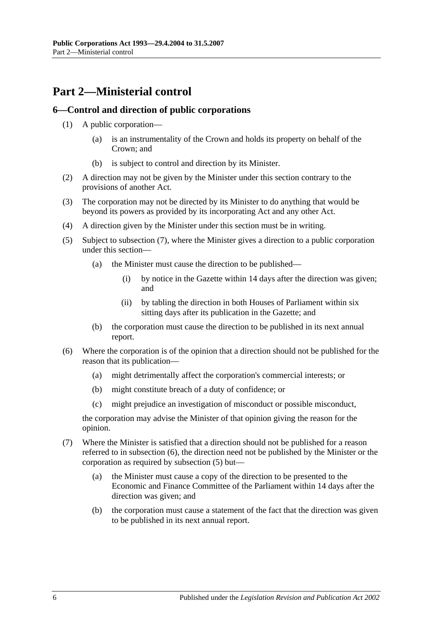## <span id="page-5-0"></span>**Part 2—Ministerial control**

#### <span id="page-5-1"></span>**6—Control and direction of public corporations**

- (1) A public corporation—
	- (a) is an instrumentality of the Crown and holds its property on behalf of the Crown; and
	- (b) is subject to control and direction by its Minister.
- (2) A direction may not be given by the Minister under this section contrary to the provisions of another Act.
- (3) The corporation may not be directed by its Minister to do anything that would be beyond its powers as provided by its incorporating Act and any other Act.
- (4) A direction given by the Minister under this section must be in writing.
- <span id="page-5-4"></span>(5) Subject to [subsection](#page-5-2) (7), where the Minister gives a direction to a public corporation under this section—
	- (a) the Minister must cause the direction to be published—
		- (i) by notice in the Gazette within 14 days after the direction was given; and
		- (ii) by tabling the direction in both Houses of Parliament within six sitting days after its publication in the Gazette; and
	- (b) the corporation must cause the direction to be published in its next annual report.
- <span id="page-5-3"></span>(6) Where the corporation is of the opinion that a direction should not be published for the reason that its publication—
	- (a) might detrimentally affect the corporation's commercial interests; or
	- (b) might constitute breach of a duty of confidence; or
	- (c) might prejudice an investigation of misconduct or possible misconduct,

the corporation may advise the Minister of that opinion giving the reason for the opinion.

- <span id="page-5-2"></span>(7) Where the Minister is satisfied that a direction should not be published for a reason referred to in [subsection](#page-5-3) (6), the direction need not be published by the Minister or the corporation as required by [subsection](#page-5-4) (5) but—
	- (a) the Minister must cause a copy of the direction to be presented to the Economic and Finance Committee of the Parliament within 14 days after the direction was given; and
	- (b) the corporation must cause a statement of the fact that the direction was given to be published in its next annual report.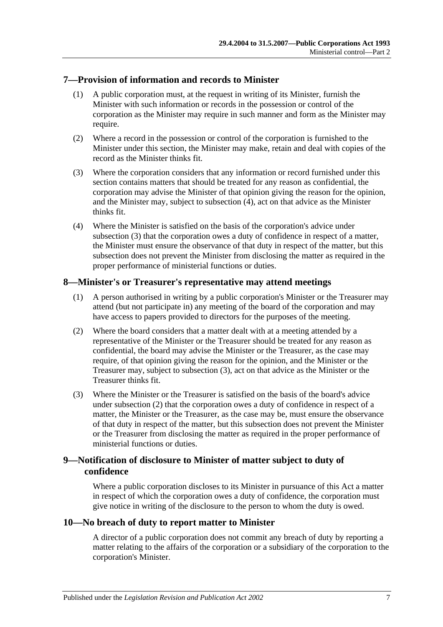#### <span id="page-6-0"></span>**7—Provision of information and records to Minister**

- (1) A public corporation must, at the request in writing of its Minister, furnish the Minister with such information or records in the possession or control of the corporation as the Minister may require in such manner and form as the Minister may require.
- (2) Where a record in the possession or control of the corporation is furnished to the Minister under this section, the Minister may make, retain and deal with copies of the record as the Minister thinks fit.
- <span id="page-6-5"></span>(3) Where the corporation considers that any information or record furnished under this section contains matters that should be treated for any reason as confidential, the corporation may advise the Minister of that opinion giving the reason for the opinion, and the Minister may, subject to [subsection](#page-6-4) (4), act on that advice as the Minister thinks fit.
- <span id="page-6-4"></span>(4) Where the Minister is satisfied on the basis of the corporation's advice under [subsection](#page-6-5) (3) that the corporation owes a duty of confidence in respect of a matter, the Minister must ensure the observance of that duty in respect of the matter, but this subsection does not prevent the Minister from disclosing the matter as required in the proper performance of ministerial functions or duties.

### <span id="page-6-1"></span>**8—Minister's or Treasurer's representative may attend meetings**

- (1) A person authorised in writing by a public corporation's Minister or the Treasurer may attend (but not participate in) any meeting of the board of the corporation and may have access to papers provided to directors for the purposes of the meeting.
- <span id="page-6-7"></span>(2) Where the board considers that a matter dealt with at a meeting attended by a representative of the Minister or the Treasurer should be treated for any reason as confidential, the board may advise the Minister or the Treasurer, as the case may require, of that opinion giving the reason for the opinion, and the Minister or the Treasurer may, subject to [subsection](#page-6-6) (3), act on that advice as the Minister or the Treasurer thinks fit.
- <span id="page-6-6"></span>(3) Where the Minister or the Treasurer is satisfied on the basis of the board's advice under [subsection](#page-6-7) (2) that the corporation owes a duty of confidence in respect of a matter, the Minister or the Treasurer, as the case may be, must ensure the observance of that duty in respect of the matter, but this subsection does not prevent the Minister or the Treasurer from disclosing the matter as required in the proper performance of ministerial functions or duties.

## <span id="page-6-2"></span>**9—Notification of disclosure to Minister of matter subject to duty of confidence**

Where a public corporation discloses to its Minister in pursuance of this Act a matter in respect of which the corporation owes a duty of confidence, the corporation must give notice in writing of the disclosure to the person to whom the duty is owed.

#### <span id="page-6-3"></span>**10—No breach of duty to report matter to Minister**

A director of a public corporation does not commit any breach of duty by reporting a matter relating to the affairs of the corporation or a subsidiary of the corporation to the corporation's Minister.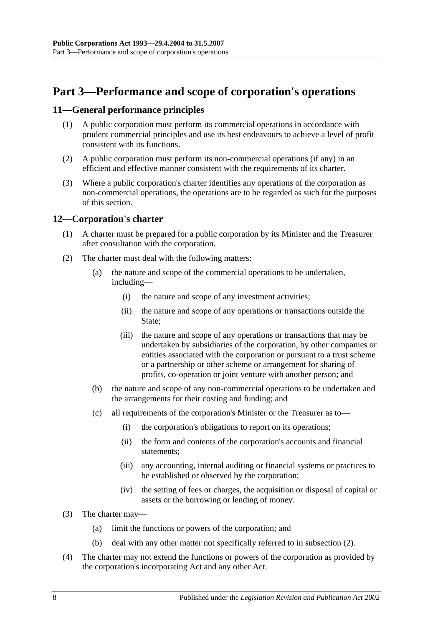## <span id="page-7-0"></span>**Part 3—Performance and scope of corporation's operations**

#### <span id="page-7-1"></span>**11—General performance principles**

- (1) A public corporation must perform its commercial operations in accordance with prudent commercial principles and use its best endeavours to achieve a level of profit consistent with its functions.
- (2) A public corporation must perform its non-commercial operations (if any) in an efficient and effective manner consistent with the requirements of its charter.
- (3) Where a public corporation's charter identifies any operations of the corporation as non-commercial operations, the operations are to be regarded as such for the purposes of this section.

#### <span id="page-7-2"></span>**12—Corporation's charter**

- (1) A charter must be prepared for a public corporation by its Minister and the Treasurer after consultation with the corporation.
- <span id="page-7-3"></span>(2) The charter must deal with the following matters:
	- (a) the nature and scope of the commercial operations to be undertaken, including—
		- (i) the nature and scope of any investment activities;
		- (ii) the nature and scope of any operations or transactions outside the State:
		- (iii) the nature and scope of any operations or transactions that may be undertaken by subsidiaries of the corporation, by other companies or entities associated with the corporation or pursuant to a trust scheme or a partnership or other scheme or arrangement for sharing of profits, co-operation or joint venture with another person; and
	- (b) the nature and scope of any non-commercial operations to be undertaken and the arrangements for their costing and funding; and
	- (c) all requirements of the corporation's Minister or the Treasurer as to—
		- (i) the corporation's obligations to report on its operations;
		- (ii) the form and contents of the corporation's accounts and financial statements;
		- (iii) any accounting, internal auditing or financial systems or practices to be established or observed by the corporation;
		- (iv) the setting of fees or charges, the acquisition or disposal of capital or assets or the borrowing or lending of money.
- (3) The charter may—
	- (a) limit the functions or powers of the corporation; and
	- (b) deal with any other matter not specifically referred to in [subsection](#page-7-3) (2).
- (4) The charter may not extend the functions or powers of the corporation as provided by the corporation's incorporating Act and any other Act.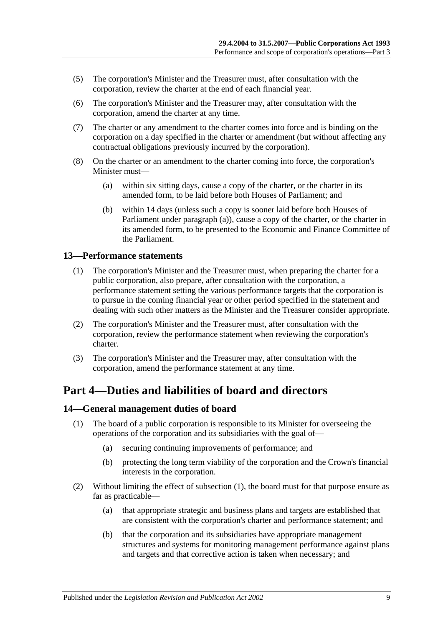- (5) The corporation's Minister and the Treasurer must, after consultation with the corporation, review the charter at the end of each financial year.
- (6) The corporation's Minister and the Treasurer may, after consultation with the corporation, amend the charter at any time.
- (7) The charter or any amendment to the charter comes into force and is binding on the corporation on a day specified in the charter or amendment (but without affecting any contractual obligations previously incurred by the corporation).
- <span id="page-8-3"></span>(8) On the charter or an amendment to the charter coming into force, the corporation's Minister must—
	- (a) within six sitting days, cause a copy of the charter, or the charter in its amended form, to be laid before both Houses of Parliament; and
	- (b) within 14 days (unless such a copy is sooner laid before both Houses of Parliament under [paragraph](#page-8-3) (a)), cause a copy of the charter, or the charter in its amended form, to be presented to the Economic and Finance Committee of the Parliament.

#### <span id="page-8-0"></span>**13—Performance statements**

- (1) The corporation's Minister and the Treasurer must, when preparing the charter for a public corporation, also prepare, after consultation with the corporation, a performance statement setting the various performance targets that the corporation is to pursue in the coming financial year or other period specified in the statement and dealing with such other matters as the Minister and the Treasurer consider appropriate.
- (2) The corporation's Minister and the Treasurer must, after consultation with the corporation, review the performance statement when reviewing the corporation's charter.
- (3) The corporation's Minister and the Treasurer may, after consultation with the corporation, amend the performance statement at any time.

## <span id="page-8-1"></span>**Part 4—Duties and liabilities of board and directors**

#### <span id="page-8-4"></span><span id="page-8-2"></span>**14—General management duties of board**

- (1) The board of a public corporation is responsible to its Minister for overseeing the operations of the corporation and its subsidiaries with the goal of—
	- (a) securing continuing improvements of performance; and
	- (b) protecting the long term viability of the corporation and the Crown's financial interests in the corporation.
- (2) Without limiting the effect of [subsection](#page-8-4) (1), the board must for that purpose ensure as far as practicable—
	- (a) that appropriate strategic and business plans and targets are established that are consistent with the corporation's charter and performance statement; and
	- (b) that the corporation and its subsidiaries have appropriate management structures and systems for monitoring management performance against plans and targets and that corrective action is taken when necessary; and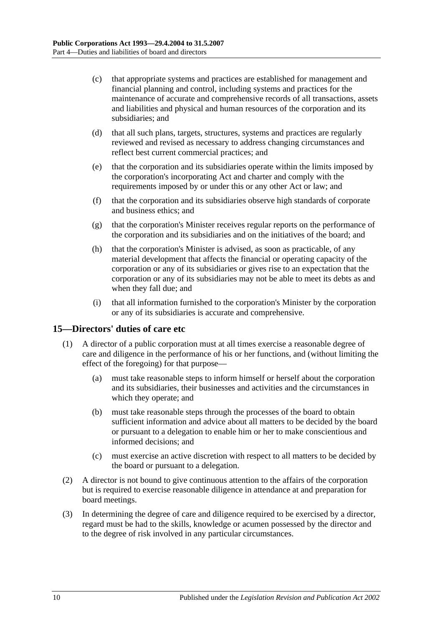- (c) that appropriate systems and practices are established for management and financial planning and control, including systems and practices for the maintenance of accurate and comprehensive records of all transactions, assets and liabilities and physical and human resources of the corporation and its subsidiaries; and
- (d) that all such plans, targets, structures, systems and practices are regularly reviewed and revised as necessary to address changing circumstances and reflect best current commercial practices; and
- (e) that the corporation and its subsidiaries operate within the limits imposed by the corporation's incorporating Act and charter and comply with the requirements imposed by or under this or any other Act or law; and
- (f) that the corporation and its subsidiaries observe high standards of corporate and business ethics; and
- (g) that the corporation's Minister receives regular reports on the performance of the corporation and its subsidiaries and on the initiatives of the board; and
- (h) that the corporation's Minister is advised, as soon as practicable, of any material development that affects the financial or operating capacity of the corporation or any of its subsidiaries or gives rise to an expectation that the corporation or any of its subsidiaries may not be able to meet its debts as and when they fall due; and
- (i) that all information furnished to the corporation's Minister by the corporation or any of its subsidiaries is accurate and comprehensive.

#### <span id="page-9-0"></span>**15—Directors' duties of care etc**

- (1) A director of a public corporation must at all times exercise a reasonable degree of care and diligence in the performance of his or her functions, and (without limiting the effect of the foregoing) for that purpose—
	- (a) must take reasonable steps to inform himself or herself about the corporation and its subsidiaries, their businesses and activities and the circumstances in which they operate; and
	- (b) must take reasonable steps through the processes of the board to obtain sufficient information and advice about all matters to be decided by the board or pursuant to a delegation to enable him or her to make conscientious and informed decisions; and
	- (c) must exercise an active discretion with respect to all matters to be decided by the board or pursuant to a delegation.
- (2) A director is not bound to give continuous attention to the affairs of the corporation but is required to exercise reasonable diligence in attendance at and preparation for board meetings.
- (3) In determining the degree of care and diligence required to be exercised by a director, regard must be had to the skills, knowledge or acumen possessed by the director and to the degree of risk involved in any particular circumstances.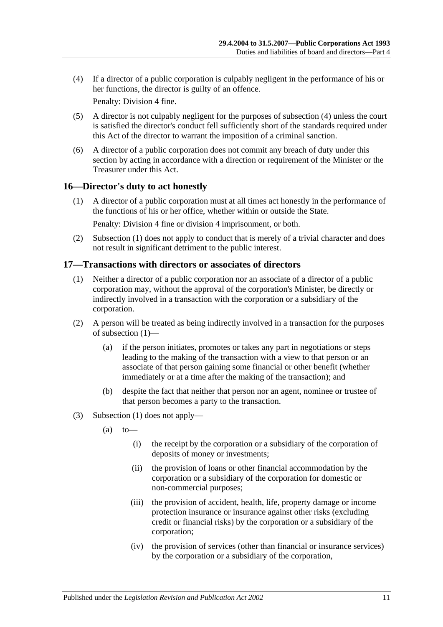<span id="page-10-2"></span>(4) If a director of a public corporation is culpably negligent in the performance of his or her functions, the director is guilty of an offence.

Penalty: Division 4 fine.

- (5) A director is not culpably negligent for the purposes of [subsection](#page-10-2) (4) unless the court is satisfied the director's conduct fell sufficiently short of the standards required under this Act of the director to warrant the imposition of a criminal sanction.
- (6) A director of a public corporation does not commit any breach of duty under this section by acting in accordance with a direction or requirement of the Minister or the Treasurer under this Act.

#### <span id="page-10-3"></span><span id="page-10-0"></span>**16—Director's duty to act honestly**

(1) A director of a public corporation must at all times act honestly in the performance of the functions of his or her office, whether within or outside the State.

Penalty: Division 4 fine or division 4 imprisonment, or both.

(2) [Subsection](#page-10-3) (1) does not apply to conduct that is merely of a trivial character and does not result in significant detriment to the public interest.

## <span id="page-10-4"></span><span id="page-10-1"></span>**17—Transactions with directors or associates of directors**

- (1) Neither a director of a public corporation nor an associate of a director of a public corporation may, without the approval of the corporation's Minister, be directly or indirectly involved in a transaction with the corporation or a subsidiary of the corporation.
- (2) A person will be treated as being indirectly involved in a transaction for the purposes of [subsection](#page-10-4) (1)—
	- (a) if the person initiates, promotes or takes any part in negotiations or steps leading to the making of the transaction with a view to that person or an associate of that person gaining some financial or other benefit (whether immediately or at a time after the making of the transaction); and
	- (b) despite the fact that neither that person nor an agent, nominee or trustee of that person becomes a party to the transaction.
- (3) [Subsection](#page-10-4) (1) does not apply—
	- $(a)$  to
		- (i) the receipt by the corporation or a subsidiary of the corporation of deposits of money or investments;
		- (ii) the provision of loans or other financial accommodation by the corporation or a subsidiary of the corporation for domestic or non-commercial purposes;
		- (iii) the provision of accident, health, life, property damage or income protection insurance or insurance against other risks (excluding credit or financial risks) by the corporation or a subsidiary of the corporation;
		- (iv) the provision of services (other than financial or insurance services) by the corporation or a subsidiary of the corporation,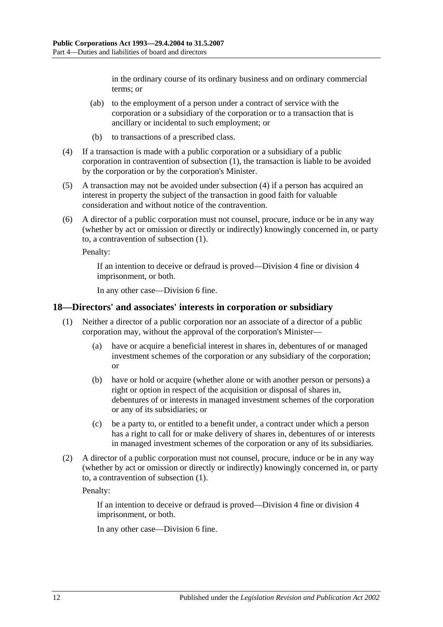in the ordinary course of its ordinary business and on ordinary commercial terms; or

- (ab) to the employment of a person under a contract of service with the corporation or a subsidiary of the corporation or to a transaction that is ancillary or incidental to such employment; or
- (b) to transactions of a prescribed class.
- <span id="page-11-1"></span>(4) If a transaction is made with a public corporation or a subsidiary of a public corporation in contravention of [subsection](#page-10-4) (1), the transaction is liable to be avoided by the corporation or by the corporation's Minister.
- (5) A transaction may not be avoided under [subsection](#page-11-1) (4) if a person has acquired an interest in property the subject of the transaction in good faith for valuable consideration and without notice of the contravention.
- (6) A director of a public corporation must not counsel, procure, induce or be in any way (whether by act or omission or directly or indirectly) knowingly concerned in, or party to, a contravention of [subsection](#page-10-4) (1).

Penalty:

If an intention to deceive or defraud is proved—Division 4 fine or division 4 imprisonment, or both.

In any other case—Division 6 fine.

#### <span id="page-11-2"></span><span id="page-11-0"></span>**18—Directors' and associates' interests in corporation or subsidiary**

- (1) Neither a director of a public corporation nor an associate of a director of a public corporation may, without the approval of the corporation's Minister—
	- (a) have or acquire a beneficial interest in shares in, debentures of or managed investment schemes of the corporation or any subsidiary of the corporation; or
	- (b) have or hold or acquire (whether alone or with another person or persons) a right or option in respect of the acquisition or disposal of shares in, debentures of or interests in managed investment schemes of the corporation or any of its subsidiaries; or
	- (c) be a party to, or entitled to a benefit under, a contract under which a person has a right to call for or make delivery of shares in, debentures of or interests in managed investment schemes of the corporation or any of its subsidiaries.
- (2) A director of a public corporation must not counsel, procure, induce or be in any way (whether by act or omission or directly or indirectly) knowingly concerned in, or party to, a contravention of [subsection](#page-11-2) (1).

Penalty:

If an intention to deceive or defraud is proved—Division 4 fine or division 4 imprisonment, or both.

In any other case—Division 6 fine.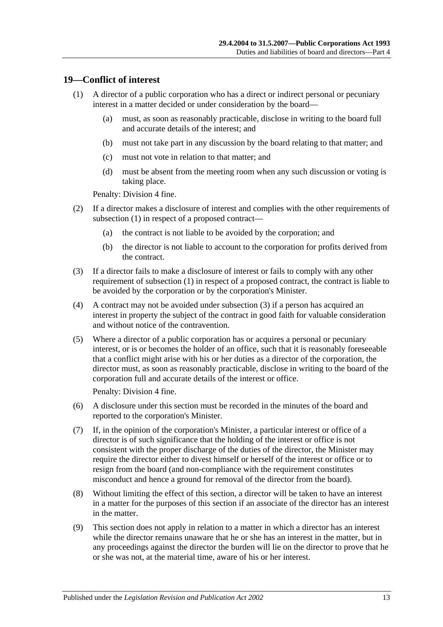#### <span id="page-12-1"></span><span id="page-12-0"></span>**19—Conflict of interest**

- (1) A director of a public corporation who has a direct or indirect personal or pecuniary interest in a matter decided or under consideration by the board—
	- (a) must, as soon as reasonably practicable, disclose in writing to the board full and accurate details of the interest; and
	- (b) must not take part in any discussion by the board relating to that matter; and
	- (c) must not vote in relation to that matter; and
	- (d) must be absent from the meeting room when any such discussion or voting is taking place.

Penalty: Division 4 fine.

- (2) If a director makes a disclosure of interest and complies with the other requirements of [subsection](#page-12-1) (1) in respect of a proposed contract—
	- (a) the contract is not liable to be avoided by the corporation; and
	- (b) the director is not liable to account to the corporation for profits derived from the contract.
- <span id="page-12-2"></span>(3) If a director fails to make a disclosure of interest or fails to comply with any other requirement of [subsection](#page-12-1) (1) in respect of a proposed contract, the contract is liable to be avoided by the corporation or by the corporation's Minister.
- (4) A contract may not be avoided under [subsection](#page-12-2) (3) if a person has acquired an interest in property the subject of the contract in good faith for valuable consideration and without notice of the contravention.
- (5) Where a director of a public corporation has or acquires a personal or pecuniary interest, or is or becomes the holder of an office, such that it is reasonably foreseeable that a conflict might arise with his or her duties as a director of the corporation, the director must, as soon as reasonably practicable, disclose in writing to the board of the corporation full and accurate details of the interest or office.

Penalty: Division 4 fine.

- (6) A disclosure under this section must be recorded in the minutes of the board and reported to the corporation's Minister.
- (7) If, in the opinion of the corporation's Minister, a particular interest or office of a director is of such significance that the holding of the interest or office is not consistent with the proper discharge of the duties of the director, the Minister may require the director either to divest himself or herself of the interest or office or to resign from the board (and non-compliance with the requirement constitutes misconduct and hence a ground for removal of the director from the board).
- (8) Without limiting the effect of this section, a director will be taken to have an interest in a matter for the purposes of this section if an associate of the director has an interest in the matter.
- (9) This section does not apply in relation to a matter in which a director has an interest while the director remains unaware that he or she has an interest in the matter, but in any proceedings against the director the burden will lie on the director to prove that he or she was not, at the material time, aware of his or her interest.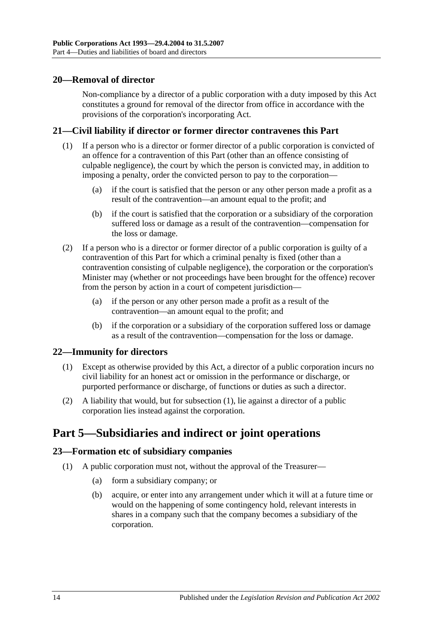#### <span id="page-13-0"></span>**20—Removal of director**

Non-compliance by a director of a public corporation with a duty imposed by this Act constitutes a ground for removal of the director from office in accordance with the provisions of the corporation's incorporating Act.

#### <span id="page-13-1"></span>**21—Civil liability if director or former director contravenes this Part**

- (1) If a person who is a director or former director of a public corporation is convicted of an offence for a contravention of this Part (other than an offence consisting of culpable negligence), the court by which the person is convicted may, in addition to imposing a penalty, order the convicted person to pay to the corporation—
	- (a) if the court is satisfied that the person or any other person made a profit as a result of the contravention—an amount equal to the profit; and
	- (b) if the court is satisfied that the corporation or a subsidiary of the corporation suffered loss or damage as a result of the contravention—compensation for the loss or damage.
- (2) If a person who is a director or former director of a public corporation is guilty of a contravention of this Part for which a criminal penalty is fixed (other than a contravention consisting of culpable negligence), the corporation or the corporation's Minister may (whether or not proceedings have been brought for the offence) recover from the person by action in a court of competent jurisdiction—
	- (a) if the person or any other person made a profit as a result of the contravention—an amount equal to the profit; and
	- (b) if the corporation or a subsidiary of the corporation suffered loss or damage as a result of the contravention—compensation for the loss or damage.

#### <span id="page-13-5"></span><span id="page-13-2"></span>**22—Immunity for directors**

- (1) Except as otherwise provided by this Act, a director of a public corporation incurs no civil liability for an honest act or omission in the performance or discharge, or purported performance or discharge, of functions or duties as such a director.
- (2) A liability that would, but for [subsection](#page-13-5) (1), lie against a director of a public corporation lies instead against the corporation.

## <span id="page-13-3"></span>**Part 5—Subsidiaries and indirect or joint operations**

#### <span id="page-13-4"></span>**23—Formation etc of subsidiary companies**

- (1) A public corporation must not, without the approval of the Treasurer—
	- (a) form a subsidiary company; or
	- (b) acquire, or enter into any arrangement under which it will at a future time or would on the happening of some contingency hold, relevant interests in shares in a company such that the company becomes a subsidiary of the corporation.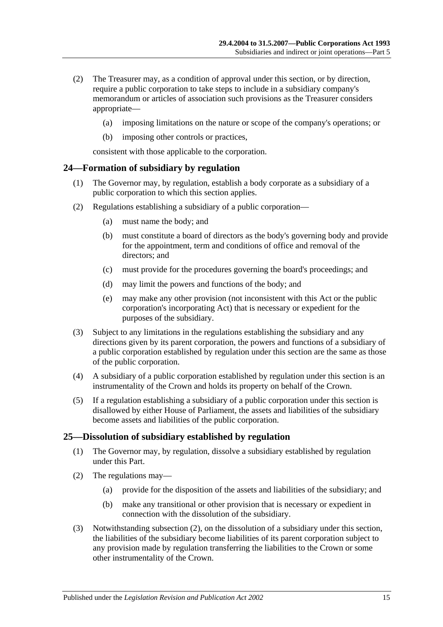- (2) The Treasurer may, as a condition of approval under this section, or by direction, require a public corporation to take steps to include in a subsidiary company's memorandum or articles of association such provisions as the Treasurer considers appropriate—
	- (a) imposing limitations on the nature or scope of the company's operations; or
	- (b) imposing other controls or practices,

consistent with those applicable to the corporation.

#### <span id="page-14-0"></span>**24—Formation of subsidiary by regulation**

- (1) The Governor may, by regulation, establish a body corporate as a subsidiary of a public corporation to which this section applies.
- (2) Regulations establishing a subsidiary of a public corporation—
	- (a) must name the body; and
	- (b) must constitute a board of directors as the body's governing body and provide for the appointment, term and conditions of office and removal of the directors; and
	- (c) must provide for the procedures governing the board's proceedings; and
	- (d) may limit the powers and functions of the body; and
	- (e) may make any other provision (not inconsistent with this Act or the public corporation's incorporating Act) that is necessary or expedient for the purposes of the subsidiary.
- (3) Subject to any limitations in the regulations establishing the subsidiary and any directions given by its parent corporation, the powers and functions of a subsidiary of a public corporation established by regulation under this section are the same as those of the public corporation.
- (4) A subsidiary of a public corporation established by regulation under this section is an instrumentality of the Crown and holds its property on behalf of the Crown.
- (5) If a regulation establishing a subsidiary of a public corporation under this section is disallowed by either House of Parliament, the assets and liabilities of the subsidiary become assets and liabilities of the public corporation.

#### <span id="page-14-1"></span>**25—Dissolution of subsidiary established by regulation**

- (1) The Governor may, by regulation, dissolve a subsidiary established by regulation under this Part.
- <span id="page-14-2"></span>(2) The regulations may—
	- (a) provide for the disposition of the assets and liabilities of the subsidiary; and
	- (b) make any transitional or other provision that is necessary or expedient in connection with the dissolution of the subsidiary.
- (3) Notwithstanding [subsection](#page-14-2) (2), on the dissolution of a subsidiary under this section, the liabilities of the subsidiary become liabilities of its parent corporation subject to any provision made by regulation transferring the liabilities to the Crown or some other instrumentality of the Crown.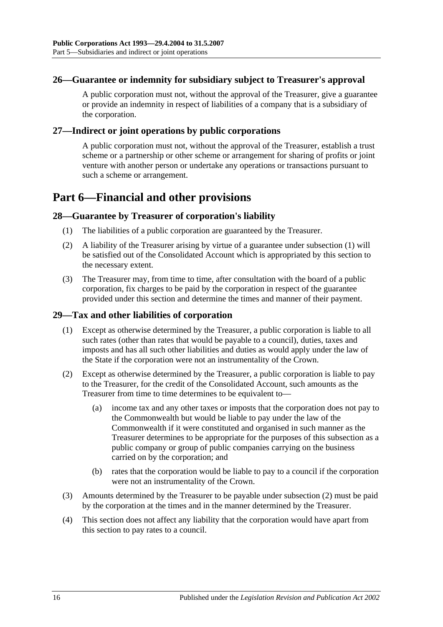#### <span id="page-15-0"></span>**26—Guarantee or indemnity for subsidiary subject to Treasurer's approval**

A public corporation must not, without the approval of the Treasurer, give a guarantee or provide an indemnity in respect of liabilities of a company that is a subsidiary of the corporation.

#### <span id="page-15-1"></span>**27—Indirect or joint operations by public corporations**

A public corporation must not, without the approval of the Treasurer, establish a trust scheme or a partnership or other scheme or arrangement for sharing of profits or joint venture with another person or undertake any operations or transactions pursuant to such a scheme or arrangement.

## <span id="page-15-2"></span>**Part 6—Financial and other provisions**

#### <span id="page-15-5"></span><span id="page-15-3"></span>**28—Guarantee by Treasurer of corporation's liability**

- (1) The liabilities of a public corporation are guaranteed by the Treasurer.
- (2) A liability of the Treasurer arising by virtue of a guarantee under [subsection](#page-15-5) (1) will be satisfied out of the Consolidated Account which is appropriated by this section to the necessary extent.
- (3) The Treasurer may, from time to time, after consultation with the board of a public corporation, fix charges to be paid by the corporation in respect of the guarantee provided under this section and determine the times and manner of their payment.

#### <span id="page-15-4"></span>**29—Tax and other liabilities of corporation**

- (1) Except as otherwise determined by the Treasurer, a public corporation is liable to all such rates (other than rates that would be payable to a council), duties, taxes and imposts and has all such other liabilities and duties as would apply under the law of the State if the corporation were not an instrumentality of the Crown.
- <span id="page-15-6"></span>(2) Except as otherwise determined by the Treasurer, a public corporation is liable to pay to the Treasurer, for the credit of the Consolidated Account, such amounts as the Treasurer from time to time determines to be equivalent to—
	- (a) income tax and any other taxes or imposts that the corporation does not pay to the Commonwealth but would be liable to pay under the law of the Commonwealth if it were constituted and organised in such manner as the Treasurer determines to be appropriate for the purposes of this subsection as a public company or group of public companies carrying on the business carried on by the corporation; and
	- (b) rates that the corporation would be liable to pay to a council if the corporation were not an instrumentality of the Crown.
- (3) Amounts determined by the Treasurer to be payable under [subsection](#page-15-6) (2) must be paid by the corporation at the times and in the manner determined by the Treasurer.
- (4) This section does not affect any liability that the corporation would have apart from this section to pay rates to a council.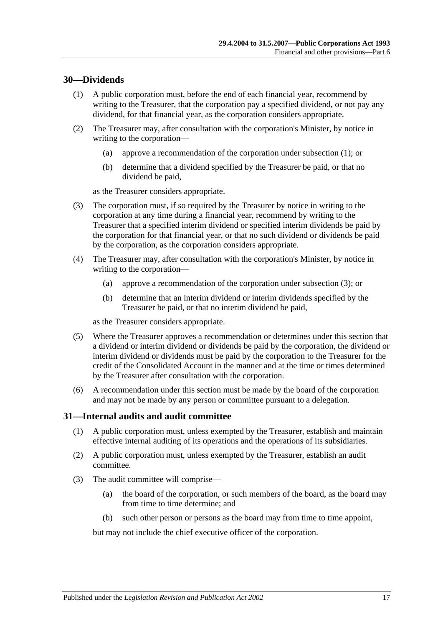#### <span id="page-16-2"></span><span id="page-16-0"></span>**30—Dividends**

- (1) A public corporation must, before the end of each financial year, recommend by writing to the Treasurer, that the corporation pay a specified dividend, or not pay any dividend, for that financial year, as the corporation considers appropriate.
- (2) The Treasurer may, after consultation with the corporation's Minister, by notice in writing to the corporation—
	- (a) approve a recommendation of the corporation under [subsection](#page-16-2) (1); or
	- (b) determine that a dividend specified by the Treasurer be paid, or that no dividend be paid,

as the Treasurer considers appropriate.

- <span id="page-16-3"></span>(3) The corporation must, if so required by the Treasurer by notice in writing to the corporation at any time during a financial year, recommend by writing to the Treasurer that a specified interim dividend or specified interim dividends be paid by the corporation for that financial year, or that no such dividend or dividends be paid by the corporation, as the corporation considers appropriate.
- (4) The Treasurer may, after consultation with the corporation's Minister, by notice in writing to the corporation—
	- (a) approve a recommendation of the corporation under [subsection](#page-16-3) (3); or
	- (b) determine that an interim dividend or interim dividends specified by the Treasurer be paid, or that no interim dividend be paid,

as the Treasurer considers appropriate.

- (5) Where the Treasurer approves a recommendation or determines under this section that a dividend or interim dividend or dividends be paid by the corporation, the dividend or interim dividend or dividends must be paid by the corporation to the Treasurer for the credit of the Consolidated Account in the manner and at the time or times determined by the Treasurer after consultation with the corporation.
- (6) A recommendation under this section must be made by the board of the corporation and may not be made by any person or committee pursuant to a delegation.

#### <span id="page-16-1"></span>**31—Internal audits and audit committee**

- (1) A public corporation must, unless exempted by the Treasurer, establish and maintain effective internal auditing of its operations and the operations of its subsidiaries.
- (2) A public corporation must, unless exempted by the Treasurer, establish an audit committee.
- (3) The audit committee will comprise—
	- (a) the board of the corporation, or such members of the board, as the board may from time to time determine; and
	- (b) such other person or persons as the board may from time to time appoint,

but may not include the chief executive officer of the corporation.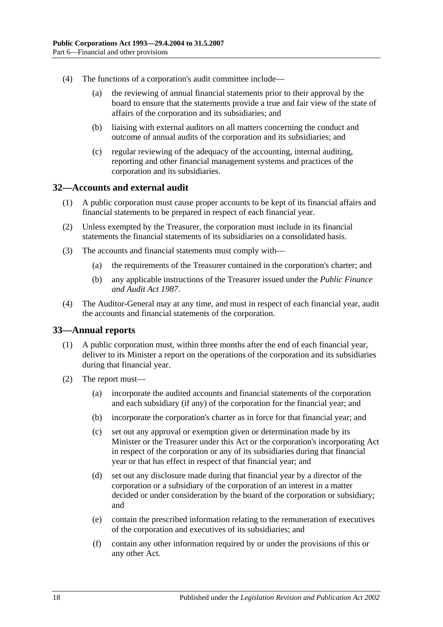- (4) The functions of a corporation's audit committee include—
	- (a) the reviewing of annual financial statements prior to their approval by the board to ensure that the statements provide a true and fair view of the state of affairs of the corporation and its subsidiaries; and
	- (b) liaising with external auditors on all matters concerning the conduct and outcome of annual audits of the corporation and its subsidiaries; and
	- (c) regular reviewing of the adequacy of the accounting, internal auditing, reporting and other financial management systems and practices of the corporation and its subsidiaries.

#### <span id="page-17-0"></span>**32—Accounts and external audit**

- (1) A public corporation must cause proper accounts to be kept of its financial affairs and financial statements to be prepared in respect of each financial year.
- (2) Unless exempted by the Treasurer, the corporation must include in its financial statements the financial statements of its subsidiaries on a consolidated basis.
- (3) The accounts and financial statements must comply with—
	- (a) the requirements of the Treasurer contained in the corporation's charter; and
	- (b) any applicable instructions of the Treasurer issued under the *[Public Finance](http://www.legislation.sa.gov.au/index.aspx?action=legref&type=act&legtitle=Public%20Finance%20and%20Audit%20Act%201987)  [and Audit Act](http://www.legislation.sa.gov.au/index.aspx?action=legref&type=act&legtitle=Public%20Finance%20and%20Audit%20Act%201987) 1987*.
- (4) The Auditor-General may at any time, and must in respect of each financial year, audit the accounts and financial statements of the corporation.

#### <span id="page-17-1"></span>**33—Annual reports**

- (1) A public corporation must, within three months after the end of each financial year, deliver to its Minister a report on the operations of the corporation and its subsidiaries during that financial year.
- (2) The report must—
	- (a) incorporate the audited accounts and financial statements of the corporation and each subsidiary (if any) of the corporation for the financial year; and
	- (b) incorporate the corporation's charter as in force for that financial year; and
	- (c) set out any approval or exemption given or determination made by its Minister or the Treasurer under this Act or the corporation's incorporating Act in respect of the corporation or any of its subsidiaries during that financial year or that has effect in respect of that financial year; and
	- (d) set out any disclosure made during that financial year by a director of the corporation or a subsidiary of the corporation of an interest in a matter decided or under consideration by the board of the corporation or subsidiary; and
	- (e) contain the prescribed information relating to the remuneration of executives of the corporation and executives of its subsidiaries; and
	- (f) contain any other information required by or under the provisions of this or any other Act.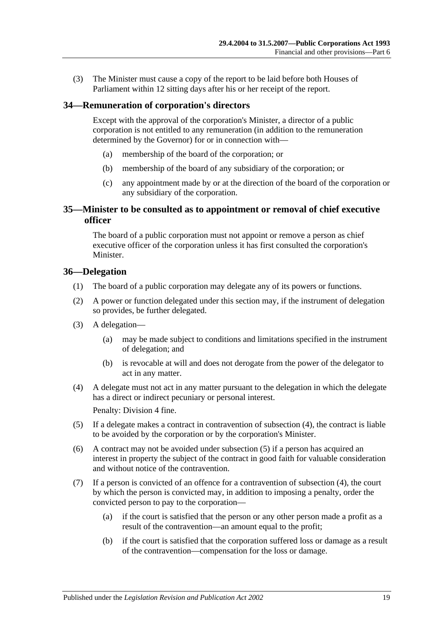(3) The Minister must cause a copy of the report to be laid before both Houses of Parliament within 12 sitting days after his or her receipt of the report.

#### <span id="page-18-0"></span>**34—Remuneration of corporation's directors**

Except with the approval of the corporation's Minister, a director of a public corporation is not entitled to any remuneration (in addition to the remuneration determined by the Governor) for or in connection with—

- (a) membership of the board of the corporation; or
- (b) membership of the board of any subsidiary of the corporation; or
- (c) any appointment made by or at the direction of the board of the corporation or any subsidiary of the corporation.

#### <span id="page-18-1"></span>**35—Minister to be consulted as to appointment or removal of chief executive officer**

The board of a public corporation must not appoint or remove a person as chief executive officer of the corporation unless it has first consulted the corporation's Minister.

#### <span id="page-18-2"></span>**36—Delegation**

- (1) The board of a public corporation may delegate any of its powers or functions.
- (2) A power or function delegated under this section may, if the instrument of delegation so provides, be further delegated.
- (3) A delegation—
	- (a) may be made subject to conditions and limitations specified in the instrument of delegation; and
	- (b) is revocable at will and does not derogate from the power of the delegator to act in any matter.
- <span id="page-18-3"></span>(4) A delegate must not act in any matter pursuant to the delegation in which the delegate has a direct or indirect pecuniary or personal interest.

Penalty: Division 4 fine.

- <span id="page-18-4"></span>(5) If a delegate makes a contract in contravention of [subsection](#page-18-3) (4), the contract is liable to be avoided by the corporation or by the corporation's Minister.
- (6) A contract may not be avoided under [subsection](#page-18-4) (5) if a person has acquired an interest in property the subject of the contract in good faith for valuable consideration and without notice of the contravention.
- (7) If a person is convicted of an offence for a contravention of [subsection](#page-18-3) (4), the court by which the person is convicted may, in addition to imposing a penalty, order the convicted person to pay to the corporation—
	- (a) if the court is satisfied that the person or any other person made a profit as a result of the contravention—an amount equal to the profit;
	- (b) if the court is satisfied that the corporation suffered loss or damage as a result of the contravention—compensation for the loss or damage.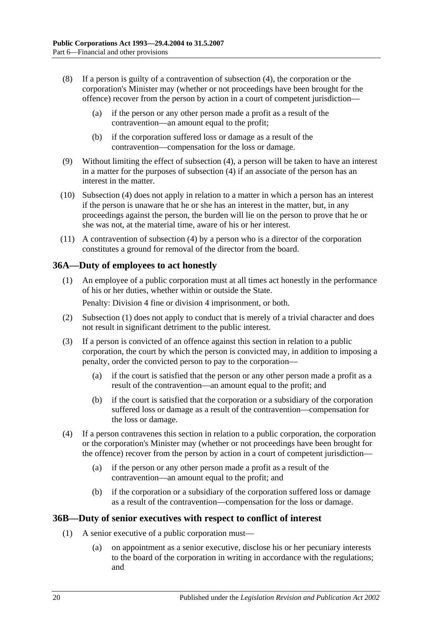- (8) If a person is guilty of a contravention of [subsection](#page-18-3) (4), the corporation or the corporation's Minister may (whether or not proceedings have been brought for the offence) recover from the person by action in a court of competent jurisdiction—
	- (a) if the person or any other person made a profit as a result of the contravention—an amount equal to the profit;
	- (b) if the corporation suffered loss or damage as a result of the contravention—compensation for the loss or damage.
- (9) Without limiting the effect of [subsection](#page-18-3) (4), a person will be taken to have an interest in a matter for the purposes of [subsection](#page-18-3) (4) if an associate of the person has an interest in the matter.
- (10) [Subsection](#page-18-3) (4) does not apply in relation to a matter in which a person has an interest if the person is unaware that he or she has an interest in the matter, but, in any proceedings against the person, the burden will lie on the person to prove that he or she was not, at the material time, aware of his or her interest.
- (11) A contravention of [subsection](#page-18-3) (4) by a person who is a director of the corporation constitutes a ground for removal of the director from the board.

### <span id="page-19-2"></span><span id="page-19-0"></span>**36A—Duty of employees to act honestly**

(1) An employee of a public corporation must at all times act honestly in the performance of his or her duties, whether within or outside the State.

Penalty: Division 4 fine or division 4 imprisonment, or both.

- (2) [Subsection](#page-19-2) (1) does not apply to conduct that is merely of a trivial character and does not result in significant detriment to the public interest.
- (3) If a person is convicted of an offence against this section in relation to a public corporation, the court by which the person is convicted may, in addition to imposing a penalty, order the convicted person to pay to the corporation—
	- (a) if the court is satisfied that the person or any other person made a profit as a result of the contravention—an amount equal to the profit; and
	- (b) if the court is satisfied that the corporation or a subsidiary of the corporation suffered loss or damage as a result of the contravention—compensation for the loss or damage.
- (4) If a person contravenes this section in relation to a public corporation, the corporation or the corporation's Minister may (whether or not proceedings have been brought for the offence) recover from the person by action in a court of competent jurisdiction—
	- (a) if the person or any other person made a profit as a result of the contravention—an amount equal to the profit; and
	- (b) if the corporation or a subsidiary of the corporation suffered loss or damage as a result of the contravention—compensation for the loss or damage.

#### <span id="page-19-4"></span><span id="page-19-1"></span>**36B—Duty of senior executives with respect to conflict of interest**

- <span id="page-19-3"></span>(1) A senior executive of a public corporation must—
	- (a) on appointment as a senior executive, disclose his or her pecuniary interests to the board of the corporation in writing in accordance with the regulations; and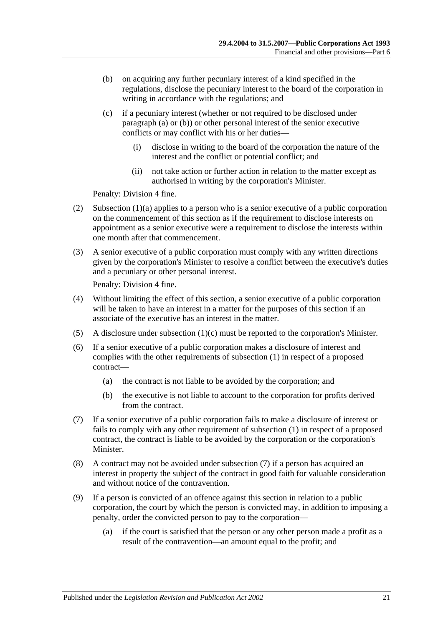- <span id="page-20-0"></span>(b) on acquiring any further pecuniary interest of a kind specified in the regulations, disclose the pecuniary interest to the board of the corporation in writing in accordance with the regulations; and
- <span id="page-20-1"></span>(c) if a pecuniary interest (whether or not required to be disclosed under [paragraph](#page-19-3) (a) or [\(b\)\)](#page-20-0) or other personal interest of the senior executive conflicts or may conflict with his or her duties—
	- (i) disclose in writing to the board of the corporation the nature of the interest and the conflict or potential conflict; and
	- (ii) not take action or further action in relation to the matter except as authorised in writing by the corporation's Minister.

Penalty: Division 4 fine.

- (2) [Subsection](#page-19-3)  $(1)(a)$  applies to a person who is a senior executive of a public corporation on the commencement of this section as if the requirement to disclose interests on appointment as a senior executive were a requirement to disclose the interests within one month after that commencement.
- (3) A senior executive of a public corporation must comply with any written directions given by the corporation's Minister to resolve a conflict between the executive's duties and a pecuniary or other personal interest.

Penalty: Division 4 fine.

- (4) Without limiting the effect of this section, a senior executive of a public corporation will be taken to have an interest in a matter for the purposes of this section if an associate of the executive has an interest in the matter.
- (5) A disclosure under [subsection](#page-20-1) (1)(c) must be reported to the corporation's Minister.
- (6) If a senior executive of a public corporation makes a disclosure of interest and complies with the other requirements of [subsection](#page-19-4) (1) in respect of a proposed contract—
	- (a) the contract is not liable to be avoided by the corporation; and
	- (b) the executive is not liable to account to the corporation for profits derived from the contract.
- <span id="page-20-2"></span>(7) If a senior executive of a public corporation fails to make a disclosure of interest or fails to comply with any other requirement of [subsection](#page-19-4) (1) in respect of a proposed contract, the contract is liable to be avoided by the corporation or the corporation's Minister.
- (8) A contract may not be avoided under [subsection](#page-20-2) (7) if a person has acquired an interest in property the subject of the contract in good faith for valuable consideration and without notice of the contravention.
- (9) If a person is convicted of an offence against this section in relation to a public corporation, the court by which the person is convicted may, in addition to imposing a penalty, order the convicted person to pay to the corporation—
	- (a) if the court is satisfied that the person or any other person made a profit as a result of the contravention—an amount equal to the profit; and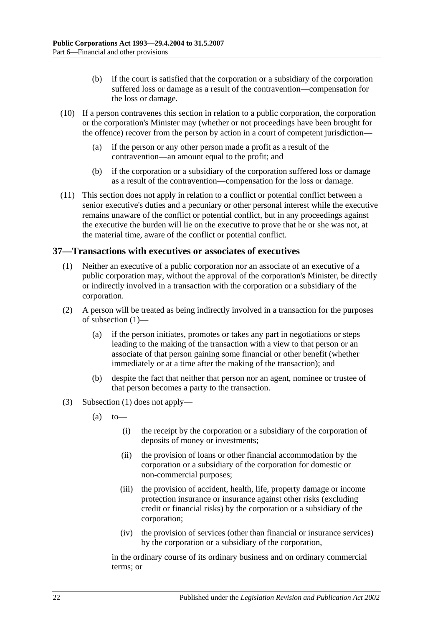- (b) if the court is satisfied that the corporation or a subsidiary of the corporation suffered loss or damage as a result of the contravention—compensation for the loss or damage.
- (10) If a person contravenes this section in relation to a public corporation, the corporation or the corporation's Minister may (whether or not proceedings have been brought for the offence) recover from the person by action in a court of competent jurisdiction—
	- (a) if the person or any other person made a profit as a result of the contravention—an amount equal to the profit; and
	- (b) if the corporation or a subsidiary of the corporation suffered loss or damage as a result of the contravention—compensation for the loss or damage.
- (11) This section does not apply in relation to a conflict or potential conflict between a senior executive's duties and a pecuniary or other personal interest while the executive remains unaware of the conflict or potential conflict, but in any proceedings against the executive the burden will lie on the executive to prove that he or she was not, at the material time, aware of the conflict or potential conflict.

#### <span id="page-21-1"></span><span id="page-21-0"></span>**37—Transactions with executives or associates of executives**

- (1) Neither an executive of a public corporation nor an associate of an executive of a public corporation may, without the approval of the corporation's Minister, be directly or indirectly involved in a transaction with the corporation or a subsidiary of the corporation.
- (2) A person will be treated as being indirectly involved in a transaction for the purposes of [subsection](#page-21-1) (1)—
	- (a) if the person initiates, promotes or takes any part in negotiations or steps leading to the making of the transaction with a view to that person or an associate of that person gaining some financial or other benefit (whether immediately or at a time after the making of the transaction); and
	- (b) despite the fact that neither that person nor an agent, nominee or trustee of that person becomes a party to the transaction.
- (3) [Subsection](#page-21-1) (1) does not apply—
	- $(a)$  to
		- (i) the receipt by the corporation or a subsidiary of the corporation of deposits of money or investments;
		- (ii) the provision of loans or other financial accommodation by the corporation or a subsidiary of the corporation for domestic or non-commercial purposes;
		- (iii) the provision of accident, health, life, property damage or income protection insurance or insurance against other risks (excluding credit or financial risks) by the corporation or a subsidiary of the corporation;
		- (iv) the provision of services (other than financial or insurance services) by the corporation or a subsidiary of the corporation,

in the ordinary course of its ordinary business and on ordinary commercial terms; or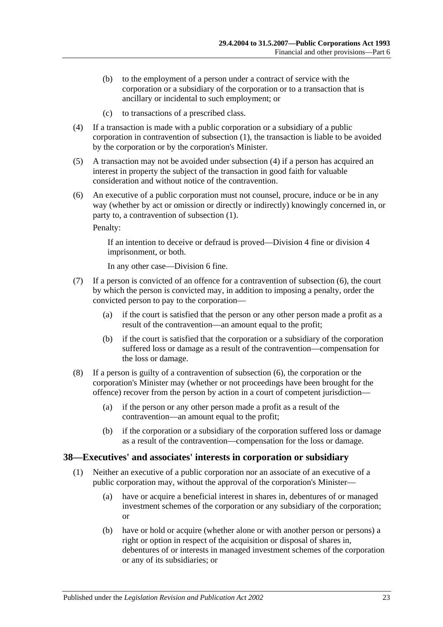- (b) to the employment of a person under a contract of service with the corporation or a subsidiary of the corporation or to a transaction that is ancillary or incidental to such employment; or
- (c) to transactions of a prescribed class.
- <span id="page-22-1"></span>(4) If a transaction is made with a public corporation or a subsidiary of a public corporation in contravention of [subsection](#page-21-1) (1), the transaction is liable to be avoided by the corporation or by the corporation's Minister.
- (5) A transaction may not be avoided under [subsection](#page-22-1) (4) if a person has acquired an interest in property the subject of the transaction in good faith for valuable consideration and without notice of the contravention.
- <span id="page-22-2"></span>(6) An executive of a public corporation must not counsel, procure, induce or be in any way (whether by act or omission or directly or indirectly) knowingly concerned in, or party to, a contravention of [subsection](#page-21-1) (1).

Penalty:

If an intention to deceive or defraud is proved—Division 4 fine or division 4 imprisonment, or both.

In any other case—Division 6 fine.

- (7) If a person is convicted of an offence for a contravention of [subsection](#page-22-2) (6), the court by which the person is convicted may, in addition to imposing a penalty, order the convicted person to pay to the corporation—
	- (a) if the court is satisfied that the person or any other person made a profit as a result of the contravention—an amount equal to the profit;
	- (b) if the court is satisfied that the corporation or a subsidiary of the corporation suffered loss or damage as a result of the contravention—compensation for the loss or damage.
- (8) If a person is guilty of a contravention of [subsection](#page-22-2) (6), the corporation or the corporation's Minister may (whether or not proceedings have been brought for the offence) recover from the person by action in a court of competent jurisdiction—
	- (a) if the person or any other person made a profit as a result of the contravention—an amount equal to the profit;
	- (b) if the corporation or a subsidiary of the corporation suffered loss or damage as a result of the contravention—compensation for the loss or damage.

#### <span id="page-22-3"></span><span id="page-22-0"></span>**38—Executives' and associates' interests in corporation or subsidiary**

- (1) Neither an executive of a public corporation nor an associate of an executive of a public corporation may, without the approval of the corporation's Minister—
	- (a) have or acquire a beneficial interest in shares in, debentures of or managed investment schemes of the corporation or any subsidiary of the corporation; or
	- (b) have or hold or acquire (whether alone or with another person or persons) a right or option in respect of the acquisition or disposal of shares in, debentures of or interests in managed investment schemes of the corporation or any of its subsidiaries; or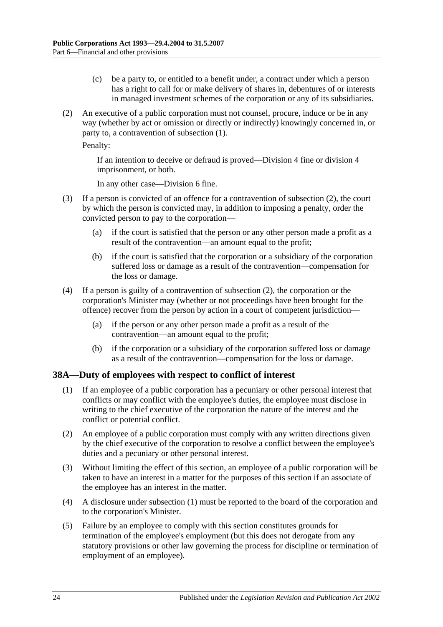- (c) be a party to, or entitled to a benefit under, a contract under which a person has a right to call for or make delivery of shares in, debentures of or interests in managed investment schemes of the corporation or any of its subsidiaries.
- <span id="page-23-1"></span>(2) An executive of a public corporation must not counsel, procure, induce or be in any way (whether by act or omission or directly or indirectly) knowingly concerned in, or party to, a contravention of [subsection](#page-22-3) (1).

Penalty:

If an intention to deceive or defraud is proved—Division 4 fine or division 4 imprisonment, or both.

In any other case—Division 6 fine.

- (3) If a person is convicted of an offence for a contravention of [subsection](#page-23-1) (2), the court by which the person is convicted may, in addition to imposing a penalty, order the convicted person to pay to the corporation—
	- (a) if the court is satisfied that the person or any other person made a profit as a result of the contravention—an amount equal to the profit;
	- (b) if the court is satisfied that the corporation or a subsidiary of the corporation suffered loss or damage as a result of the contravention—compensation for the loss or damage.
- (4) If a person is guilty of a contravention of [subsection](#page-23-1) (2), the corporation or the corporation's Minister may (whether or not proceedings have been brought for the offence) recover from the person by action in a court of competent jurisdiction—
	- (a) if the person or any other person made a profit as a result of the contravention—an amount equal to the profit;
	- (b) if the corporation or a subsidiary of the corporation suffered loss or damage as a result of the contravention—compensation for the loss or damage.

#### <span id="page-23-2"></span><span id="page-23-0"></span>**38A—Duty of employees with respect to conflict of interest**

- (1) If an employee of a public corporation has a pecuniary or other personal interest that conflicts or may conflict with the employee's duties, the employee must disclose in writing to the chief executive of the corporation the nature of the interest and the conflict or potential conflict.
- (2) An employee of a public corporation must comply with any written directions given by the chief executive of the corporation to resolve a conflict between the employee's duties and a pecuniary or other personal interest.
- (3) Without limiting the effect of this section, an employee of a public corporation will be taken to have an interest in a matter for the purposes of this section if an associate of the employee has an interest in the matter.
- (4) A disclosure under [subsection](#page-23-2) (1) must be reported to the board of the corporation and to the corporation's Minister.
- (5) Failure by an employee to comply with this section constitutes grounds for termination of the employee's employment (but this does not derogate from any statutory provisions or other law governing the process for discipline or termination of employment of an employee).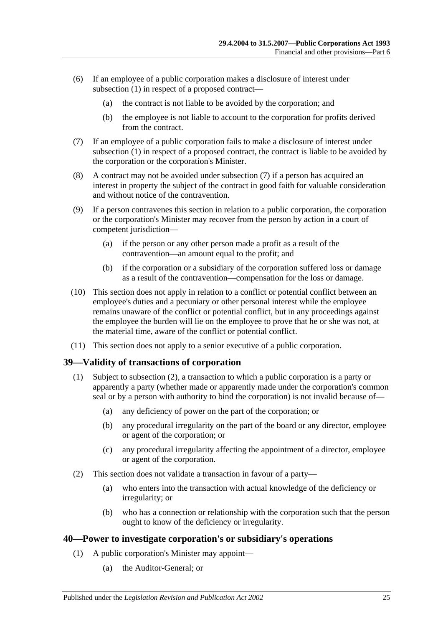- (6) If an employee of a public corporation makes a disclosure of interest under [subsection](#page-23-2) (1) in respect of a proposed contract—
	- (a) the contract is not liable to be avoided by the corporation; and
	- (b) the employee is not liable to account to the corporation for profits derived from the contract.
- <span id="page-24-2"></span>(7) If an employee of a public corporation fails to make a disclosure of interest under [subsection](#page-23-2) (1) in respect of a proposed contract, the contract is liable to be avoided by the corporation or the corporation's Minister.
- (8) A contract may not be avoided under [subsection](#page-24-2) (7) if a person has acquired an interest in property the subject of the contract in good faith for valuable consideration and without notice of the contravention.
- (9) If a person contravenes this section in relation to a public corporation, the corporation or the corporation's Minister may recover from the person by action in a court of competent jurisdiction—
	- (a) if the person or any other person made a profit as a result of the contravention—an amount equal to the profit; and
	- (b) if the corporation or a subsidiary of the corporation suffered loss or damage as a result of the contravention—compensation for the loss or damage.
- (10) This section does not apply in relation to a conflict or potential conflict between an employee's duties and a pecuniary or other personal interest while the employee remains unaware of the conflict or potential conflict, but in any proceedings against the employee the burden will lie on the employee to prove that he or she was not, at the material time, aware of the conflict or potential conflict.
- (11) This section does not apply to a senior executive of a public corporation.

#### <span id="page-24-0"></span>**39—Validity of transactions of corporation**

- (1) Subject to [subsection](#page-24-3) (2), a transaction to which a public corporation is a party or apparently a party (whether made or apparently made under the corporation's common seal or by a person with authority to bind the corporation) is not invalid because of—
	- (a) any deficiency of power on the part of the corporation; or
	- (b) any procedural irregularity on the part of the board or any director, employee or agent of the corporation; or
	- (c) any procedural irregularity affecting the appointment of a director, employee or agent of the corporation.
- <span id="page-24-3"></span>(2) This section does not validate a transaction in favour of a party—
	- (a) who enters into the transaction with actual knowledge of the deficiency or irregularity; or
	- (b) who has a connection or relationship with the corporation such that the person ought to know of the deficiency or irregularity.

#### <span id="page-24-1"></span>**40—Power to investigate corporation's or subsidiary's operations**

- (1) A public corporation's Minister may appoint—
	- (a) the Auditor-General; or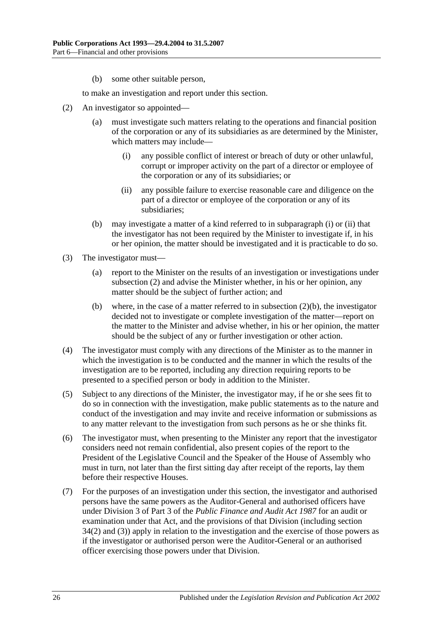(b) some other suitable person,

to make an investigation and report under this section.

- <span id="page-25-2"></span><span id="page-25-0"></span>(2) An investigator so appointed—
	- (a) must investigate such matters relating to the operations and financial position of the corporation or any of its subsidiaries as are determined by the Minister, which matters may include—
		- (i) any possible conflict of interest or breach of duty or other unlawful, corrupt or improper activity on the part of a director or employee of the corporation or any of its subsidiaries; or
		- (ii) any possible failure to exercise reasonable care and diligence on the part of a director or employee of the corporation or any of its subsidiaries;
	- (b) may investigate a matter of a kind referred to in [subparagraph](#page-25-0) (i) or [\(ii\)](#page-25-1) that the investigator has not been required by the Minister to investigate if, in his or her opinion, the matter should be investigated and it is practicable to do so.
- <span id="page-25-3"></span><span id="page-25-1"></span>(3) The investigator must—
	- (a) report to the Minister on the results of an investigation or investigations under [subsection](#page-25-2) (2) and advise the Minister whether, in his or her opinion, any matter should be the subject of further action; and
	- (b) where, in the case of a matter referred to in [subsection](#page-25-3) (2)(b), the investigator decided not to investigate or complete investigation of the matter—report on the matter to the Minister and advise whether, in his or her opinion, the matter should be the subject of any or further investigation or other action.
- (4) The investigator must comply with any directions of the Minister as to the manner in which the investigation is to be conducted and the manner in which the results of the investigation are to be reported, including any direction requiring reports to be presented to a specified person or body in addition to the Minister.
- (5) Subject to any directions of the Minister, the investigator may, if he or she sees fit to do so in connection with the investigation, make public statements as to the nature and conduct of the investigation and may invite and receive information or submissions as to any matter relevant to the investigation from such persons as he or she thinks fit.
- (6) The investigator must, when presenting to the Minister any report that the investigator considers need not remain confidential, also present copies of the report to the President of the Legislative Council and the Speaker of the House of Assembly who must in turn, not later than the first sitting day after receipt of the reports, lay them before their respective Houses.
- (7) For the purposes of an investigation under this section, the investigator and authorised persons have the same powers as the Auditor-General and authorised officers have under Division 3 of Part 3 of the *[Public Finance and Audit Act](http://www.legislation.sa.gov.au/index.aspx?action=legref&type=act&legtitle=Public%20Finance%20and%20Audit%20Act%201987) 1987* for an audit or examination under that Act, and the provisions of that Division (including section 34(2) and (3)) apply in relation to the investigation and the exercise of those powers as if the investigator or authorised person were the Auditor-General or an authorised officer exercising those powers under that Division.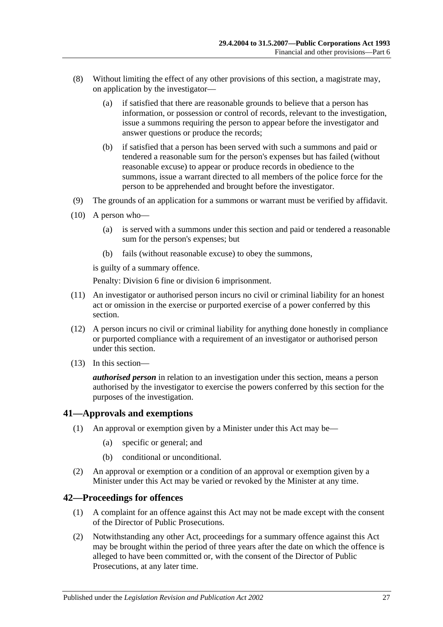- (8) Without limiting the effect of any other provisions of this section, a magistrate may, on application by the investigator—
	- (a) if satisfied that there are reasonable grounds to believe that a person has information, or possession or control of records, relevant to the investigation, issue a summons requiring the person to appear before the investigator and answer questions or produce the records;
	- (b) if satisfied that a person has been served with such a summons and paid or tendered a reasonable sum for the person's expenses but has failed (without reasonable excuse) to appear or produce records in obedience to the summons, issue a warrant directed to all members of the police force for the person to be apprehended and brought before the investigator.
- (9) The grounds of an application for a summons or warrant must be verified by affidavit.
- (10) A person who—
	- (a) is served with a summons under this section and paid or tendered a reasonable sum for the person's expenses; but
	- (b) fails (without reasonable excuse) to obey the summons,

is guilty of a summary offence.

Penalty: Division 6 fine or division 6 imprisonment.

- (11) An investigator or authorised person incurs no civil or criminal liability for an honest act or omission in the exercise or purported exercise of a power conferred by this section.
- (12) A person incurs no civil or criminal liability for anything done honestly in compliance or purported compliance with a requirement of an investigator or authorised person under this section.
- (13) In this section—

*authorised person* in relation to an investigation under this section, means a person authorised by the investigator to exercise the powers conferred by this section for the purposes of the investigation.

#### <span id="page-26-0"></span>**41—Approvals and exemptions**

- (1) An approval or exemption given by a Minister under this Act may be—
	- (a) specific or general; and
	- (b) conditional or unconditional.
- (2) An approval or exemption or a condition of an approval or exemption given by a Minister under this Act may be varied or revoked by the Minister at any time.

#### <span id="page-26-1"></span>**42—Proceedings for offences**

- (1) A complaint for an offence against this Act may not be made except with the consent of the Director of Public Prosecutions.
- (2) Notwithstanding any other Act, proceedings for a summary offence against this Act may be brought within the period of three years after the date on which the offence is alleged to have been committed or, with the consent of the Director of Public Prosecutions, at any later time.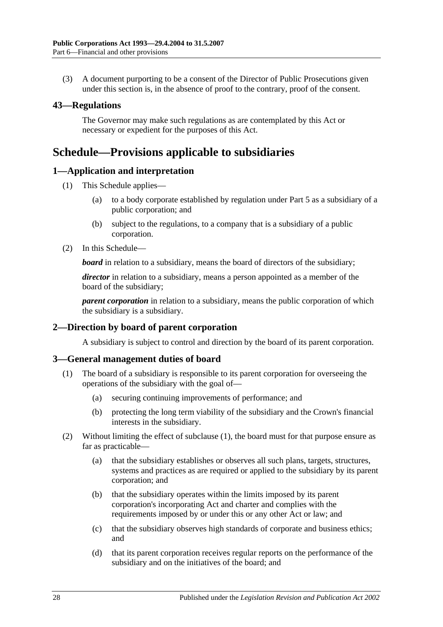(3) A document purporting to be a consent of the Director of Public Prosecutions given under this section is, in the absence of proof to the contrary, proof of the consent.

#### <span id="page-27-0"></span>**43—Regulations**

The Governor may make such regulations as are contemplated by this Act or necessary or expedient for the purposes of this Act.

## <span id="page-27-1"></span>**Schedule—Provisions applicable to subsidiaries**

#### <span id="page-27-2"></span>**1—Application and interpretation**

- (1) This Schedule applies—
	- (a) to a body corporate established by regulation under [Part 5](#page-13-3) as a subsidiary of a public corporation; and
	- (b) subject to the regulations, to a company that is a subsidiary of a public corporation.
- (2) In this Schedule—

**board** in relation to a subsidiary, means the board of directors of the subsidiary;

*director* in relation to a subsidiary, means a person appointed as a member of the board of the subsidiary;

*parent corporation* in relation to a subsidiary, means the public corporation of which the subsidiary is a subsidiary.

#### <span id="page-27-3"></span>**2—Direction by board of parent corporation**

A subsidiary is subject to control and direction by the board of its parent corporation.

#### <span id="page-27-5"></span><span id="page-27-4"></span>**3—General management duties of board**

- (1) The board of a subsidiary is responsible to its parent corporation for overseeing the operations of the subsidiary with the goal of—
	- (a) securing continuing improvements of performance; and
	- (b) protecting the long term viability of the subsidiary and the Crown's financial interests in the subsidiary.
- (2) Without limiting the effect of [subclause](#page-27-5) (1), the board must for that purpose ensure as far as practicable—
	- (a) that the subsidiary establishes or observes all such plans, targets, structures, systems and practices as are required or applied to the subsidiary by its parent corporation; and
	- (b) that the subsidiary operates within the limits imposed by its parent corporation's incorporating Act and charter and complies with the requirements imposed by or under this or any other Act or law; and
	- (c) that the subsidiary observes high standards of corporate and business ethics; and
	- (d) that its parent corporation receives regular reports on the performance of the subsidiary and on the initiatives of the board; and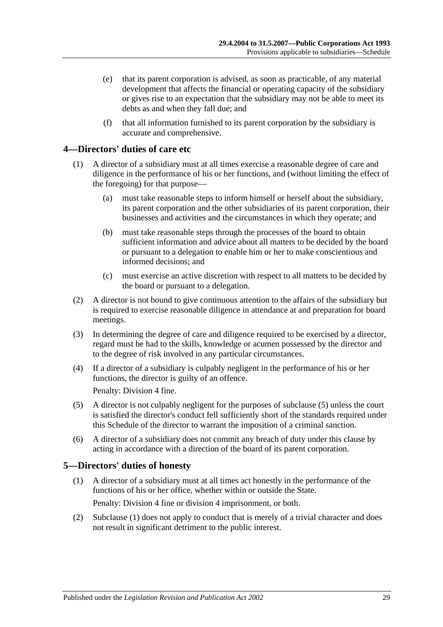- (e) that its parent corporation is advised, as soon as practicable, of any material development that affects the financial or operating capacity of the subsidiary or gives rise to an expectation that the subsidiary may not be able to meet its debts as and when they fall due; and
- (f) that all information furnished to its parent corporation by the subsidiary is accurate and comprehensive.

### <span id="page-28-0"></span>**4—Directors' duties of care etc**

- (1) A director of a subsidiary must at all times exercise a reasonable degree of care and diligence in the performance of his or her functions, and (without limiting the effect of the foregoing) for that purpose—
	- (a) must take reasonable steps to inform himself or herself about the subsidiary, its parent corporation and the other subsidiaries of its parent corporation, their businesses and activities and the circumstances in which they operate; and
	- (b) must take reasonable steps through the processes of the board to obtain sufficient information and advice about all matters to be decided by the board or pursuant to a delegation to enable him or her to make conscientious and informed decisions; and
	- (c) must exercise an active discretion with respect to all matters to be decided by the board or pursuant to a delegation.
- (2) A director is not bound to give continuous attention to the affairs of the subsidiary but is required to exercise reasonable diligence in attendance at and preparation for board meetings.
- (3) In determining the degree of care and diligence required to be exercised by a director, regard must be had to the skills, knowledge or acumen possessed by the director and to the degree of risk involved in any particular circumstances.
- (4) If a director of a subsidiary is culpably negligent in the performance of his or her functions, the director is guilty of an offence.

Penalty: Division 4 fine.

- (5) A director is not culpably negligent for the purposes of subclause (5) unless the court is satisfied the director's conduct fell sufficiently short of the standards required under this Schedule of the director to warrant the imposition of a criminal sanction.
- (6) A director of a subsidiary does not commit any breach of duty under this clause by acting in accordance with a direction of the board of its parent corporation.

#### <span id="page-28-2"></span><span id="page-28-1"></span>**5—Directors' duties of honesty**

- (1) A director of a subsidiary must at all times act honestly in the performance of the functions of his or her office, whether within or outside the State. Penalty: Division 4 fine or division 4 imprisonment, or both.
- (2) [Subclause](#page-28-2) (1) does not apply to conduct that is merely of a trivial character and does not result in significant detriment to the public interest.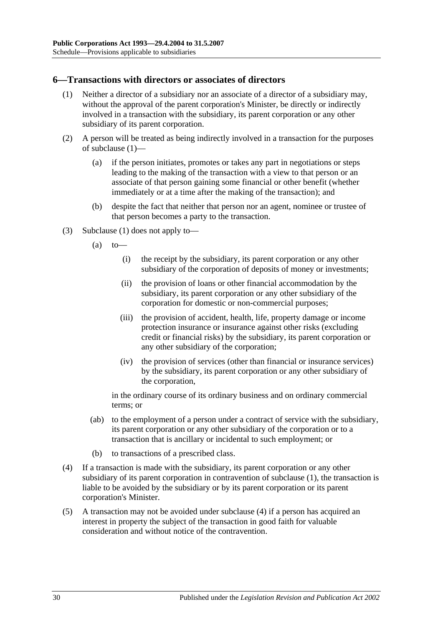#### <span id="page-29-1"></span><span id="page-29-0"></span>**6—Transactions with directors or associates of directors**

- (1) Neither a director of a subsidiary nor an associate of a director of a subsidiary may, without the approval of the parent corporation's Minister, be directly or indirectly involved in a transaction with the subsidiary, its parent corporation or any other subsidiary of its parent corporation.
- (2) A person will be treated as being indirectly involved in a transaction for the purposes of [subclause](#page-29-1) (1)—
	- (a) if the person initiates, promotes or takes any part in negotiations or steps leading to the making of the transaction with a view to that person or an associate of that person gaining some financial or other benefit (whether immediately or at a time after the making of the transaction); and
	- (b) despite the fact that neither that person nor an agent, nominee or trustee of that person becomes a party to the transaction.
- (3) [Subclause](#page-29-1) (1) does not apply to—
	- $(a)$  to
		- (i) the receipt by the subsidiary, its parent corporation or any other subsidiary of the corporation of deposits of money or investments;
		- (ii) the provision of loans or other financial accommodation by the subsidiary, its parent corporation or any other subsidiary of the corporation for domestic or non-commercial purposes;
		- (iii) the provision of accident, health, life, property damage or income protection insurance or insurance against other risks (excluding credit or financial risks) by the subsidiary, its parent corporation or any other subsidiary of the corporation;
		- (iv) the provision of services (other than financial or insurance services) by the subsidiary, its parent corporation or any other subsidiary of the corporation,

in the ordinary course of its ordinary business and on ordinary commercial terms; or

- (ab) to the employment of a person under a contract of service with the subsidiary, its parent corporation or any other subsidiary of the corporation or to a transaction that is ancillary or incidental to such employment; or
- (b) to transactions of a prescribed class.
- <span id="page-29-2"></span>(4) If a transaction is made with the subsidiary, its parent corporation or any other subsidiary of its parent corporation in contravention of [subclause](#page-29-1) (1), the transaction is liable to be avoided by the subsidiary or by its parent corporation or its parent corporation's Minister.
- (5) A transaction may not be avoided under [subclause](#page-29-2) (4) if a person has acquired an interest in property the subject of the transaction in good faith for valuable consideration and without notice of the contravention.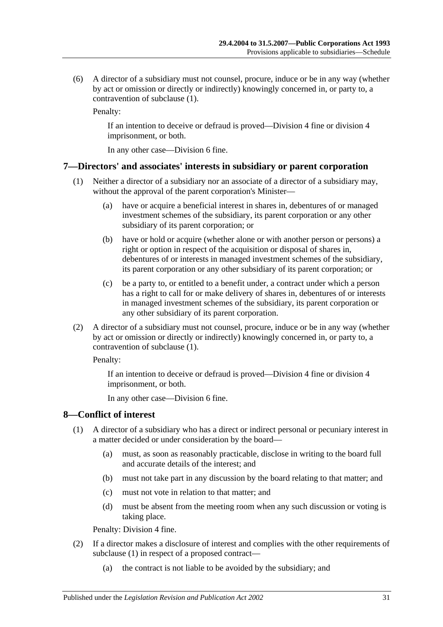(6) A director of a subsidiary must not counsel, procure, induce or be in any way (whether by act or omission or directly or indirectly) knowingly concerned in, or party to, a contravention of [subclause](#page-29-1) (1).

Penalty:

If an intention to deceive or defraud is proved—Division 4 fine or division 4 imprisonment, or both.

In any other case—Division 6 fine.

#### <span id="page-30-2"></span><span id="page-30-0"></span>**7—Directors' and associates' interests in subsidiary or parent corporation**

- (1) Neither a director of a subsidiary nor an associate of a director of a subsidiary may, without the approval of the parent corporation's Minister—
	- (a) have or acquire a beneficial interest in shares in, debentures of or managed investment schemes of the subsidiary, its parent corporation or any other subsidiary of its parent corporation; or
	- (b) have or hold or acquire (whether alone or with another person or persons) a right or option in respect of the acquisition or disposal of shares in, debentures of or interests in managed investment schemes of the subsidiary, its parent corporation or any other subsidiary of its parent corporation; or
	- (c) be a party to, or entitled to a benefit under, a contract under which a person has a right to call for or make delivery of shares in, debentures of or interests in managed investment schemes of the subsidiary, its parent corporation or any other subsidiary of its parent corporation.
- (2) A director of a subsidiary must not counsel, procure, induce or be in any way (whether by act or omission or directly or indirectly) knowingly concerned in, or party to, a contravention of [subclause](#page-30-2) (1).

Penalty:

If an intention to deceive or defraud is proved—Division 4 fine or division 4 imprisonment, or both.

In any other case—Division 6 fine.

#### <span id="page-30-3"></span><span id="page-30-1"></span>**8—Conflict of interest**

- (1) A director of a subsidiary who has a direct or indirect personal or pecuniary interest in a matter decided or under consideration by the board—
	- (a) must, as soon as reasonably practicable, disclose in writing to the board full and accurate details of the interest; and
	- (b) must not take part in any discussion by the board relating to that matter; and
	- (c) must not vote in relation to that matter; and
	- (d) must be absent from the meeting room when any such discussion or voting is taking place.

Penalty: Division 4 fine.

- (2) If a director makes a disclosure of interest and complies with the other requirements of [subclause](#page-30-3) (1) in respect of a proposed contract—
	- (a) the contract is not liable to be avoided by the subsidiary; and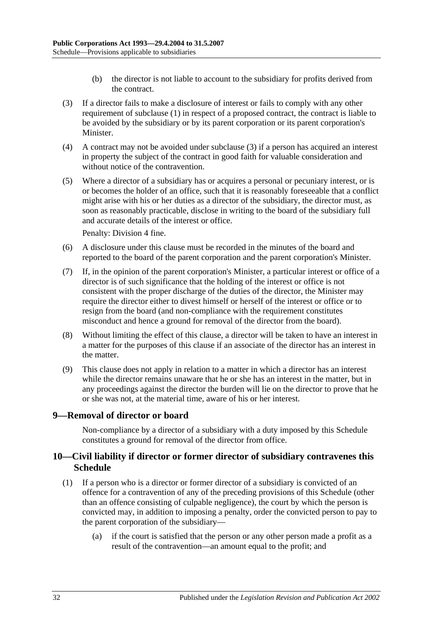- (b) the director is not liable to account to the subsidiary for profits derived from the contract.
- <span id="page-31-2"></span>(3) If a director fails to make a disclosure of interest or fails to comply with any other requirement of [subclause](#page-30-3) (1) in respect of a proposed contract, the contract is liable to be avoided by the subsidiary or by its parent corporation or its parent corporation's Minister.
- (4) A contract may not be avoided under [subclause](#page-31-2) (3) if a person has acquired an interest in property the subject of the contract in good faith for valuable consideration and without notice of the contravention.
- (5) Where a director of a subsidiary has or acquires a personal or pecuniary interest, or is or becomes the holder of an office, such that it is reasonably foreseeable that a conflict might arise with his or her duties as a director of the subsidiary, the director must, as soon as reasonably practicable, disclose in writing to the board of the subsidiary full and accurate details of the interest or office.

Penalty: Division 4 fine.

- (6) A disclosure under this clause must be recorded in the minutes of the board and reported to the board of the parent corporation and the parent corporation's Minister.
- (7) If, in the opinion of the parent corporation's Minister, a particular interest or office of a director is of such significance that the holding of the interest or office is not consistent with the proper discharge of the duties of the director, the Minister may require the director either to divest himself or herself of the interest or office or to resign from the board (and non-compliance with the requirement constitutes misconduct and hence a ground for removal of the director from the board).
- (8) Without limiting the effect of this clause, a director will be taken to have an interest in a matter for the purposes of this clause if an associate of the director has an interest in the matter.
- (9) This clause does not apply in relation to a matter in which a director has an interest while the director remains unaware that he or she has an interest in the matter, but in any proceedings against the director the burden will lie on the director to prove that he or she was not, at the material time, aware of his or her interest.

#### <span id="page-31-0"></span>**9—Removal of director or board**

Non-compliance by a director of a subsidiary with a duty imposed by this Schedule constitutes a ground for removal of the director from office.

#### <span id="page-31-1"></span>**10—Civil liability if director or former director of subsidiary contravenes this Schedule**

- (1) If a person who is a director or former director of a subsidiary is convicted of an offence for a contravention of any of the preceding provisions of this Schedule (other than an offence consisting of culpable negligence), the court by which the person is convicted may, in addition to imposing a penalty, order the convicted person to pay to the parent corporation of the subsidiary—
	- (a) if the court is satisfied that the person or any other person made a profit as a result of the contravention—an amount equal to the profit; and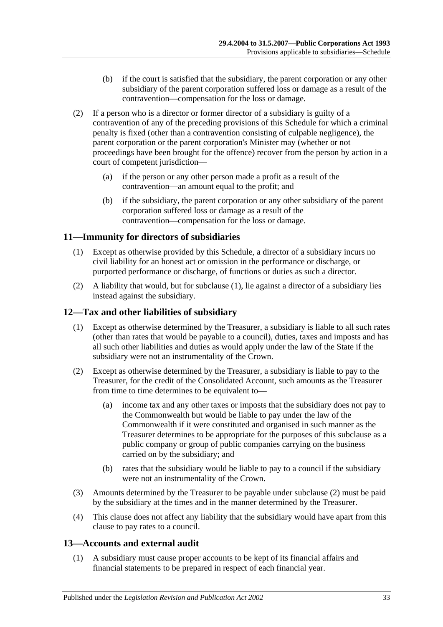- (b) if the court is satisfied that the subsidiary, the parent corporation or any other subsidiary of the parent corporation suffered loss or damage as a result of the contravention—compensation for the loss or damage.
- (2) If a person who is a director or former director of a subsidiary is guilty of a contravention of any of the preceding provisions of this Schedule for which a criminal penalty is fixed (other than a contravention consisting of culpable negligence), the parent corporation or the parent corporation's Minister may (whether or not proceedings have been brought for the offence) recover from the person by action in a court of competent jurisdiction—
	- (a) if the person or any other person made a profit as a result of the contravention—an amount equal to the profit; and
	- (b) if the subsidiary, the parent corporation or any other subsidiary of the parent corporation suffered loss or damage as a result of the contravention—compensation for the loss or damage.

## <span id="page-32-3"></span><span id="page-32-0"></span>**11—Immunity for directors of subsidiaries**

- (1) Except as otherwise provided by this Schedule, a director of a subsidiary incurs no civil liability for an honest act or omission in the performance or discharge, or purported performance or discharge, of functions or duties as such a director.
- (2) A liability that would, but for [subclause](#page-32-3) (1), lie against a director of a subsidiary lies instead against the subsidiary.

### <span id="page-32-1"></span>**12—Tax and other liabilities of subsidiary**

- (1) Except as otherwise determined by the Treasurer, a subsidiary is liable to all such rates (other than rates that would be payable to a council), duties, taxes and imposts and has all such other liabilities and duties as would apply under the law of the State if the subsidiary were not an instrumentality of the Crown.
- <span id="page-32-4"></span>(2) Except as otherwise determined by the Treasurer, a subsidiary is liable to pay to the Treasurer, for the credit of the Consolidated Account, such amounts as the Treasurer from time to time determines to be equivalent to—
	- (a) income tax and any other taxes or imposts that the subsidiary does not pay to the Commonwealth but would be liable to pay under the law of the Commonwealth if it were constituted and organised in such manner as the Treasurer determines to be appropriate for the purposes of this subclause as a public company or group of public companies carrying on the business carried on by the subsidiary; and
	- (b) rates that the subsidiary would be liable to pay to a council if the subsidiary were not an instrumentality of the Crown.
- (3) Amounts determined by the Treasurer to be payable under [subclause](#page-32-4) (2) must be paid by the subsidiary at the times and in the manner determined by the Treasurer.
- (4) This clause does not affect any liability that the subsidiary would have apart from this clause to pay rates to a council.

## <span id="page-32-2"></span>**13—Accounts and external audit**

(1) A subsidiary must cause proper accounts to be kept of its financial affairs and financial statements to be prepared in respect of each financial year.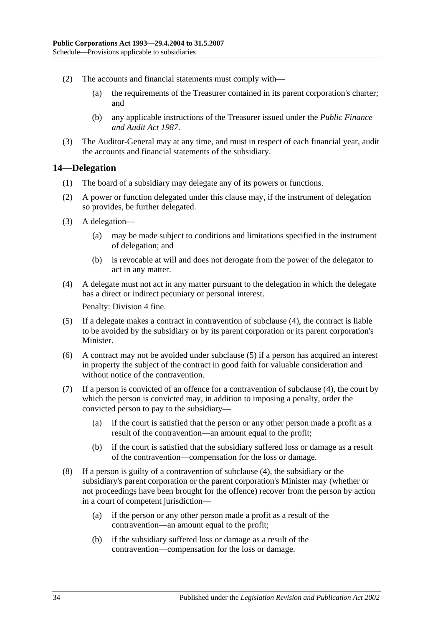- (2) The accounts and financial statements must comply with—
	- (a) the requirements of the Treasurer contained in its parent corporation's charter; and
	- (b) any applicable instructions of the Treasurer issued under the *[Public Finance](http://www.legislation.sa.gov.au/index.aspx?action=legref&type=act&legtitle=Public%20Finance%20and%20Audit%20Act%201987)  [and Audit Act](http://www.legislation.sa.gov.au/index.aspx?action=legref&type=act&legtitle=Public%20Finance%20and%20Audit%20Act%201987) 1987*.
- (3) The Auditor-General may at any time, and must in respect of each financial year, audit the accounts and financial statements of the subsidiary.

## <span id="page-33-0"></span>**14—Delegation**

- (1) The board of a subsidiary may delegate any of its powers or functions.
- (2) A power or function delegated under this clause may, if the instrument of delegation so provides, be further delegated.
- (3) A delegation—
	- (a) may be made subject to conditions and limitations specified in the instrument of delegation; and
	- (b) is revocable at will and does not derogate from the power of the delegator to act in any matter.
- <span id="page-33-1"></span>(4) A delegate must not act in any matter pursuant to the delegation in which the delegate has a direct or indirect pecuniary or personal interest.

Penalty: Division 4 fine.

- <span id="page-33-2"></span>(5) If a delegate makes a contract in contravention of [subclause](#page-33-1) (4), the contract is liable to be avoided by the subsidiary or by its parent corporation or its parent corporation's Minister.
- (6) A contract may not be avoided under [subclause](#page-33-2) (5) if a person has acquired an interest in property the subject of the contract in good faith for valuable consideration and without notice of the contravention.
- (7) If a person is convicted of an offence for a contravention of [subclause](#page-33-1) (4), the court by which the person is convicted may, in addition to imposing a penalty, order the convicted person to pay to the subsidiary—
	- (a) if the court is satisfied that the person or any other person made a profit as a result of the contravention—an amount equal to the profit;
	- (b) if the court is satisfied that the subsidiary suffered loss or damage as a result of the contravention—compensation for the loss or damage.
- (8) If a person is guilty of a contravention of [subclause](#page-33-1) (4), the subsidiary or the subsidiary's parent corporation or the parent corporation's Minister may (whether or not proceedings have been brought for the offence) recover from the person by action in a court of competent jurisdiction—
	- (a) if the person or any other person made a profit as a result of the contravention—an amount equal to the profit;
	- (b) if the subsidiary suffered loss or damage as a result of the contravention—compensation for the loss or damage.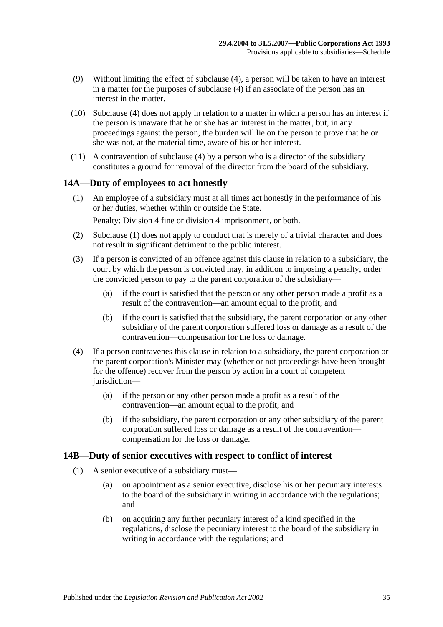- (9) Without limiting the effect of [subclause](#page-33-1) (4), a person will be taken to have an interest in a matter for the purposes of [subclause](#page-33-1) (4) if an associate of the person has an interest in the matter.
- (10) [Subclause](#page-33-1) (4) does not apply in relation to a matter in which a person has an interest if the person is unaware that he or she has an interest in the matter, but, in any proceedings against the person, the burden will lie on the person to prove that he or she was not, at the material time, aware of his or her interest.
- (11) A contravention of [subclause](#page-33-1) (4) by a person who is a director of the subsidiary constitutes a ground for removal of the director from the board of the subsidiary.

#### <span id="page-34-2"></span><span id="page-34-0"></span>**14A—Duty of employees to act honestly**

(1) An employee of a subsidiary must at all times act honestly in the performance of his or her duties, whether within or outside the State.

Penalty: Division 4 fine or division 4 imprisonment, or both.

- (2) [Subclause](#page-34-2) (1) does not apply to conduct that is merely of a trivial character and does not result in significant detriment to the public interest.
- (3) If a person is convicted of an offence against this clause in relation to a subsidiary, the court by which the person is convicted may, in addition to imposing a penalty, order the convicted person to pay to the parent corporation of the subsidiary—
	- (a) if the court is satisfied that the person or any other person made a profit as a result of the contravention—an amount equal to the profit; and
	- (b) if the court is satisfied that the subsidiary, the parent corporation or any other subsidiary of the parent corporation suffered loss or damage as a result of the contravention—compensation for the loss or damage.
- (4) If a person contravenes this clause in relation to a subsidiary, the parent corporation or the parent corporation's Minister may (whether or not proceedings have been brought for the offence) recover from the person by action in a court of competent jurisdiction—
	- (a) if the person or any other person made a profit as a result of the contravention—an amount equal to the profit; and
	- (b) if the subsidiary, the parent corporation or any other subsidiary of the parent corporation suffered loss or damage as a result of the contravention compensation for the loss or damage.

#### <span id="page-34-5"></span><span id="page-34-1"></span>**14B—Duty of senior executives with respect to conflict of interest**

- <span id="page-34-4"></span><span id="page-34-3"></span>(1) A senior executive of a subsidiary must—
	- (a) on appointment as a senior executive, disclose his or her pecuniary interests to the board of the subsidiary in writing in accordance with the regulations; and
	- (b) on acquiring any further pecuniary interest of a kind specified in the regulations, disclose the pecuniary interest to the board of the subsidiary in writing in accordance with the regulations; and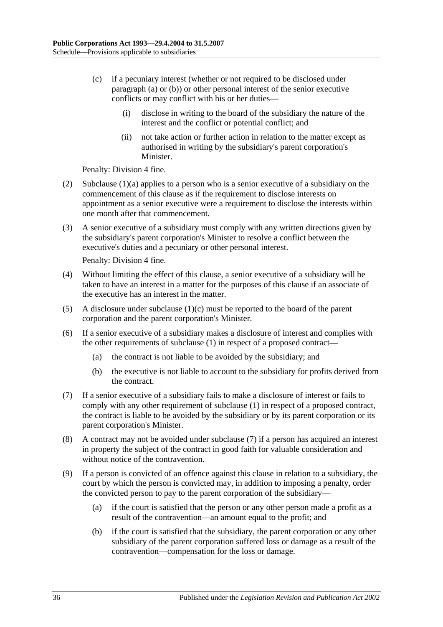- <span id="page-35-0"></span>(c) if a pecuniary interest (whether or not required to be disclosed under [paragraph](#page-34-3) (a) or [\(b\)\)](#page-34-4) or other personal interest of the senior executive conflicts or may conflict with his or her duties—
	- (i) disclose in writing to the board of the subsidiary the nature of the interest and the conflict or potential conflict; and
	- (ii) not take action or further action in relation to the matter except as authorised in writing by the subsidiary's parent corporation's Minister.

Penalty: Division 4 fine.

- (2) [Subclause](#page-34-3) (1)(a) applies to a person who is a senior executive of a subsidiary on the commencement of this clause as if the requirement to disclose interests on appointment as a senior executive were a requirement to disclose the interests within one month after that commencement.
- (3) A senior executive of a subsidiary must comply with any written directions given by the subsidiary's parent corporation's Minister to resolve a conflict between the executive's duties and a pecuniary or other personal interest.

Penalty: Division 4 fine.

- (4) Without limiting the effect of this clause, a senior executive of a subsidiary will be taken to have an interest in a matter for the purposes of this clause if an associate of the executive has an interest in the matter.
- (5) A disclosure under [subclause](#page-35-0)  $(1)(c)$  must be reported to the board of the parent corporation and the parent corporation's Minister.
- (6) If a senior executive of a subsidiary makes a disclosure of interest and complies with the other requirements of [subclause](#page-34-5) (1) in respect of a proposed contract—
	- (a) the contract is not liable to be avoided by the subsidiary; and
	- (b) the executive is not liable to account to the subsidiary for profits derived from the contract.
- <span id="page-35-1"></span>(7) If a senior executive of a subsidiary fails to make a disclosure of interest or fails to comply with any other requirement of [subclause](#page-34-5) (1) in respect of a proposed contract, the contract is liable to be avoided by the subsidiary or by its parent corporation or its parent corporation's Minister.
- (8) A contract may not be avoided under [subclause](#page-35-1) (7) if a person has acquired an interest in property the subject of the contract in good faith for valuable consideration and without notice of the contravention.
- (9) If a person is convicted of an offence against this clause in relation to a subsidiary, the court by which the person is convicted may, in addition to imposing a penalty, order the convicted person to pay to the parent corporation of the subsidiary—
	- (a) if the court is satisfied that the person or any other person made a profit as a result of the contravention—an amount equal to the profit; and
	- (b) if the court is satisfied that the subsidiary, the parent corporation or any other subsidiary of the parent corporation suffered loss or damage as a result of the contravention—compensation for the loss or damage.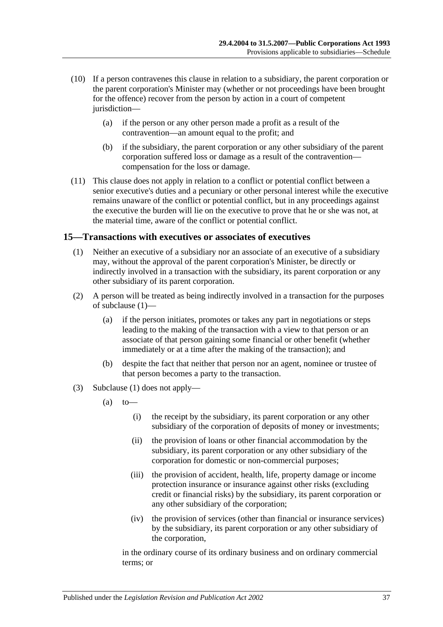- (10) If a person contravenes this clause in relation to a subsidiary, the parent corporation or the parent corporation's Minister may (whether or not proceedings have been brought for the offence) recover from the person by action in a court of competent jurisdiction—
	- (a) if the person or any other person made a profit as a result of the contravention—an amount equal to the profit; and
	- (b) if the subsidiary, the parent corporation or any other subsidiary of the parent corporation suffered loss or damage as a result of the contravention compensation for the loss or damage.
- (11) This clause does not apply in relation to a conflict or potential conflict between a senior executive's duties and a pecuniary or other personal interest while the executive remains unaware of the conflict or potential conflict, but in any proceedings against the executive the burden will lie on the executive to prove that he or she was not, at the material time, aware of the conflict or potential conflict.

#### <span id="page-36-1"></span><span id="page-36-0"></span>**15—Transactions with executives or associates of executives**

- (1) Neither an executive of a subsidiary nor an associate of an executive of a subsidiary may, without the approval of the parent corporation's Minister, be directly or indirectly involved in a transaction with the subsidiary, its parent corporation or any other subsidiary of its parent corporation.
- (2) A person will be treated as being indirectly involved in a transaction for the purposes of [subclause](#page-36-1) (1)—
	- (a) if the person initiates, promotes or takes any part in negotiations or steps leading to the making of the transaction with a view to that person or an associate of that person gaining some financial or other benefit (whether immediately or at a time after the making of the transaction); and
	- (b) despite the fact that neither that person nor an agent, nominee or trustee of that person becomes a party to the transaction.
- (3) [Subclause](#page-36-1) (1) does not apply—
	- $(a)$  to
		- (i) the receipt by the subsidiary, its parent corporation or any other subsidiary of the corporation of deposits of money or investments;
		- (ii) the provision of loans or other financial accommodation by the subsidiary, its parent corporation or any other subsidiary of the corporation for domestic or non-commercial purposes;
		- (iii) the provision of accident, health, life, property damage or income protection insurance or insurance against other risks (excluding credit or financial risks) by the subsidiary, its parent corporation or any other subsidiary of the corporation;
		- (iv) the provision of services (other than financial or insurance services) by the subsidiary, its parent corporation or any other subsidiary of the corporation,

in the ordinary course of its ordinary business and on ordinary commercial terms; or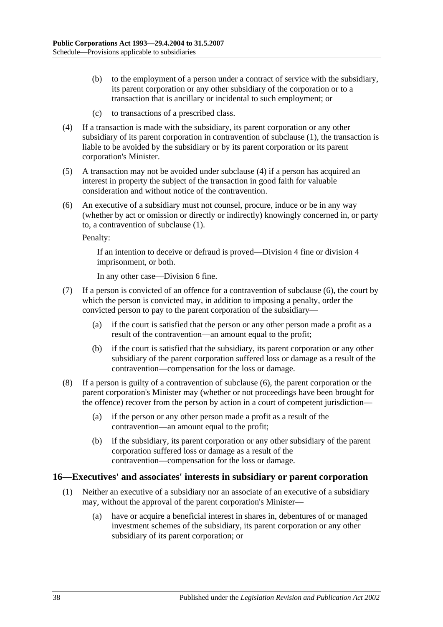- (b) to the employment of a person under a contract of service with the subsidiary, its parent corporation or any other subsidiary of the corporation or to a transaction that is ancillary or incidental to such employment; or
- (c) to transactions of a prescribed class.
- <span id="page-37-1"></span>(4) If a transaction is made with the subsidiary, its parent corporation or any other subsidiary of its parent corporation in contravention of [subclause](#page-36-1) (1), the transaction is liable to be avoided by the subsidiary or by its parent corporation or its parent corporation's Minister.
- (5) A transaction may not be avoided under [subclause](#page-37-1) (4) if a person has acquired an interest in property the subject of the transaction in good faith for valuable consideration and without notice of the contravention.
- <span id="page-37-2"></span>(6) An executive of a subsidiary must not counsel, procure, induce or be in any way (whether by act or omission or directly or indirectly) knowingly concerned in, or party to, a contravention of [subclause](#page-36-1) (1).

Penalty:

If an intention to deceive or defraud is proved—Division 4 fine or division 4 imprisonment, or both.

In any other case—Division 6 fine.

- (7) If a person is convicted of an offence for a contravention of [subclause](#page-37-2) (6), the court by which the person is convicted may, in addition to imposing a penalty, order the convicted person to pay to the parent corporation of the subsidiary—
	- (a) if the court is satisfied that the person or any other person made a profit as a result of the contravention—an amount equal to the profit;
	- (b) if the court is satisfied that the subsidiary, its parent corporation or any other subsidiary of the parent corporation suffered loss or damage as a result of the contravention—compensation for the loss or damage.
- (8) If a person is guilty of a contravention of [subclause](#page-37-2) (6), the parent corporation or the parent corporation's Minister may (whether or not proceedings have been brought for the offence) recover from the person by action in a court of competent jurisdiction—
	- (a) if the person or any other person made a profit as a result of the contravention—an amount equal to the profit;
	- (b) if the subsidiary, its parent corporation or any other subsidiary of the parent corporation suffered loss or damage as a result of the contravention—compensation for the loss or damage.

#### <span id="page-37-3"></span><span id="page-37-0"></span>**16—Executives' and associates' interests in subsidiary or parent corporation**

- (1) Neither an executive of a subsidiary nor an associate of an executive of a subsidiary may, without the approval of the parent corporation's Minister—
	- (a) have or acquire a beneficial interest in shares in, debentures of or managed investment schemes of the subsidiary, its parent corporation or any other subsidiary of its parent corporation; or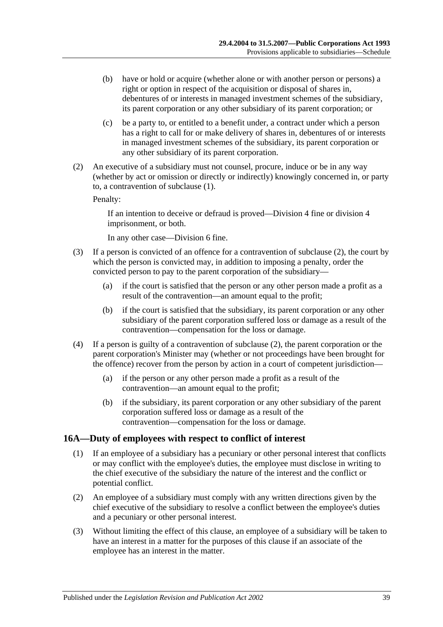- (b) have or hold or acquire (whether alone or with another person or persons) a right or option in respect of the acquisition or disposal of shares in, debentures of or interests in managed investment schemes of the subsidiary, its parent corporation or any other subsidiary of its parent corporation; or
- (c) be a party to, or entitled to a benefit under, a contract under which a person has a right to call for or make delivery of shares in, debentures of or interests in managed investment schemes of the subsidiary, its parent corporation or any other subsidiary of its parent corporation.
- <span id="page-38-1"></span>(2) An executive of a subsidiary must not counsel, procure, induce or be in any way (whether by act or omission or directly or indirectly) knowingly concerned in, or party to, a contravention of [subclause](#page-37-3) (1).

Penalty:

If an intention to deceive or defraud is proved—Division 4 fine or division 4 imprisonment, or both.

In any other case—Division 6 fine.

- (3) If a person is convicted of an offence for a contravention of [subclause](#page-38-1) (2), the court by which the person is convicted may, in addition to imposing a penalty, order the convicted person to pay to the parent corporation of the subsidiary—
	- (a) if the court is satisfied that the person or any other person made a profit as a result of the contravention—an amount equal to the profit;
	- (b) if the court is satisfied that the subsidiary, its parent corporation or any other subsidiary of the parent corporation suffered loss or damage as a result of the contravention—compensation for the loss or damage.
- (4) If a person is guilty of a contravention of [subclause](#page-38-1) (2), the parent corporation or the parent corporation's Minister may (whether or not proceedings have been brought for the offence) recover from the person by action in a court of competent jurisdiction—
	- (a) if the person or any other person made a profit as a result of the contravention—an amount equal to the profit;
	- (b) if the subsidiary, its parent corporation or any other subsidiary of the parent corporation suffered loss or damage as a result of the contravention—compensation for the loss or damage.

#### <span id="page-38-2"></span><span id="page-38-0"></span>**16A—Duty of employees with respect to conflict of interest**

- (1) If an employee of a subsidiary has a pecuniary or other personal interest that conflicts or may conflict with the employee's duties, the employee must disclose in writing to the chief executive of the subsidiary the nature of the interest and the conflict or potential conflict.
- (2) An employee of a subsidiary must comply with any written directions given by the chief executive of the subsidiary to resolve a conflict between the employee's duties and a pecuniary or other personal interest.
- (3) Without limiting the effect of this clause, an employee of a subsidiary will be taken to have an interest in a matter for the purposes of this clause if an associate of the employee has an interest in the matter.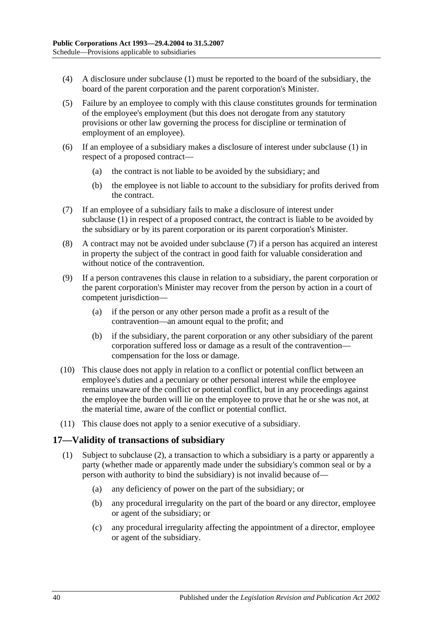- (4) A disclosure under [subclause](#page-38-2) (1) must be reported to the board of the subsidiary, the board of the parent corporation and the parent corporation's Minister.
- (5) Failure by an employee to comply with this clause constitutes grounds for termination of the employee's employment (but this does not derogate from any statutory provisions or other law governing the process for discipline or termination of employment of an employee).
- (6) If an employee of a subsidiary makes a disclosure of interest under [subclause](#page-38-2) (1) in respect of a proposed contract—
	- (a) the contract is not liable to be avoided by the subsidiary; and
	- (b) the employee is not liable to account to the subsidiary for profits derived from the contract.
- <span id="page-39-1"></span>(7) If an employee of a subsidiary fails to make a disclosure of interest under [subclause](#page-38-2) (1) in respect of a proposed contract, the contract is liable to be avoided by the subsidiary or by its parent corporation or its parent corporation's Minister.
- (8) A contract may not be avoided under [subclause](#page-39-1) (7) if a person has acquired an interest in property the subject of the contract in good faith for valuable consideration and without notice of the contravention.
- (9) If a person contravenes this clause in relation to a subsidiary, the parent corporation or the parent corporation's Minister may recover from the person by action in a court of competent jurisdiction—
	- (a) if the person or any other person made a profit as a result of the contravention—an amount equal to the profit; and
	- (b) if the subsidiary, the parent corporation or any other subsidiary of the parent corporation suffered loss or damage as a result of the contravention compensation for the loss or damage.
- (10) This clause does not apply in relation to a conflict or potential conflict between an employee's duties and a pecuniary or other personal interest while the employee remains unaware of the conflict or potential conflict, but in any proceedings against the employee the burden will lie on the employee to prove that he or she was not, at the material time, aware of the conflict or potential conflict.
- (11) This clause does not apply to a senior executive of a subsidiary.

#### <span id="page-39-0"></span>**17—Validity of transactions of subsidiary**

- (1) Subject to [subclause](#page-40-0) (2), a transaction to which a subsidiary is a party or apparently a party (whether made or apparently made under the subsidiary's common seal or by a person with authority to bind the subsidiary) is not invalid because of—
	- (a) any deficiency of power on the part of the subsidiary; or
	- (b) any procedural irregularity on the part of the board or any director, employee or agent of the subsidiary; or
	- (c) any procedural irregularity affecting the appointment of a director, employee or agent of the subsidiary.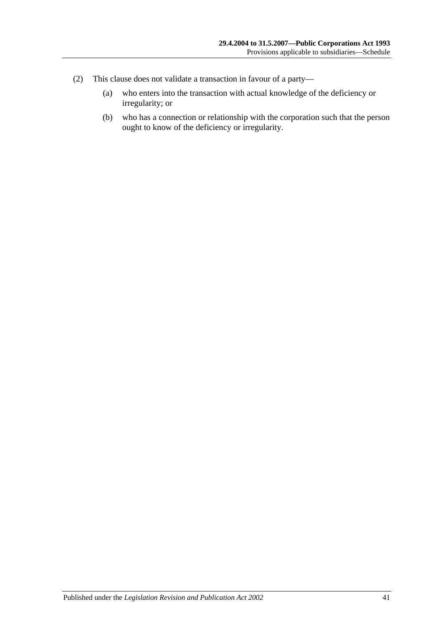- <span id="page-40-0"></span>(2) This clause does not validate a transaction in favour of a party—
	- (a) who enters into the transaction with actual knowledge of the deficiency or irregularity; or
	- (b) who has a connection or relationship with the corporation such that the person ought to know of the deficiency or irregularity.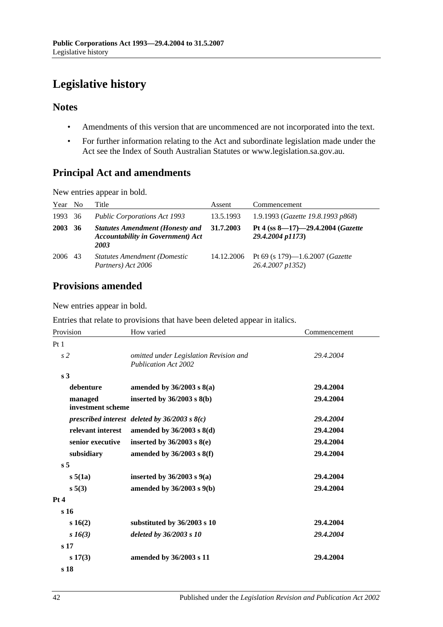# <span id="page-41-0"></span>**Legislative history**

## **Notes**

- Amendments of this version that are uncommenced are not incorporated into the text.
- For further information relating to the Act and subordinate legislation made under the Act see the Index of South Australian Statutes or www.legislation.sa.gov.au.

## **Principal Act and amendments**

New entries appear in bold.

| Year | N <sub>0</sub> | Title                                                                                      | Assent     | Commencement                                                |
|------|----------------|--------------------------------------------------------------------------------------------|------------|-------------------------------------------------------------|
| 1993 | - 36           | <b>Public Corporations Act 1993</b>                                                        | 13.5.1993  | 1.9.1993 (Gazette 19.8.1993 p868)                           |
| 2003 | 36             | <b>Statutes Amendment (Honesty and</b><br><b>Accountability in Government) Act</b><br>2003 | 31.7.2003  | Pt 4 (ss $8-17$ )-29.4.2004 (Gazette<br>29.4.2004 p1173)    |
| 2006 | 43             | <b>Statutes Amendment (Domestic)</b><br>Partners) Act 2006                                 | 14.12.2006 | Pt 69 (s 179)—1.6.2007 ( <i>Gazette</i><br>26.4.2007 p1352) |

## **Provisions amended**

New entries appear in bold.

Entries that relate to provisions that have been deleted appear in italics.

| Provision                    | How varied                                                            | Commencement |
|------------------------------|-----------------------------------------------------------------------|--------------|
| Pt <sub>1</sub>              |                                                                       |              |
| s <sub>2</sub>               | omitted under Legislation Revision and<br><b>Publication Act 2002</b> | 29.4.2004    |
| s <sub>3</sub>               |                                                                       |              |
| debenture                    | amended by $36/2003$ s $8(a)$                                         | 29.4.2004    |
| managed<br>investment scheme | inserted by $36/2003$ s $8(b)$                                        | 29.4.2004    |
|                              | prescribed interest deleted by $36/2003$ s $8(c)$                     | 29.4.2004    |
| relevant interest            | amended by $36/2003$ s $8(d)$                                         | 29.4.2004    |
| senior executive             | inserted by $36/2003$ s $8(e)$                                        | 29.4.2004    |
| subsidiary                   | amended by $36/2003$ s $8(f)$                                         | 29.4.2004    |
| s <sub>5</sub>               |                                                                       |              |
| s 5(1a)                      | inserted by $36/2003$ s $9(a)$                                        | 29.4.2004    |
| s 5(3)                       | amended by $36/2003$ s $9(b)$                                         | 29.4.2004    |
| Pt 4                         |                                                                       |              |
| s <sub>16</sub>              |                                                                       |              |
| s 16(2)                      | substituted by 36/2003 s 10                                           | 29.4.2004    |
| $s\,16(3)$                   | deleted by 36/2003 s 10                                               | 29.4.2004    |
| s <sub>17</sub>              |                                                                       |              |
| $s\,17(3)$                   | amended by 36/2003 s 11                                               | 29.4.2004    |
| s 18                         |                                                                       |              |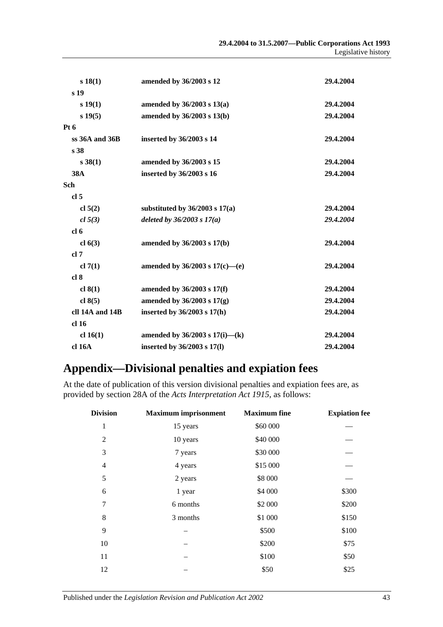| s 18(1)          | amended by 36/2003 s 12             | 29.4.2004 |
|------------------|-------------------------------------|-----------|
| s 19             |                                     |           |
| s(19(1))         | amended by $36/2003$ s $13(a)$      | 29.4.2004 |
| $s\,19(5)$       | amended by 36/2003 s 13(b)          | 29.4.2004 |
| Pt <sub>6</sub>  |                                     |           |
| $ss$ 36A and 36B | inserted by 36/2003 s 14            | 29.4.2004 |
| s 38             |                                     |           |
| $s \, 38(1)$     | amended by 36/2003 s 15             | 29.4.2004 |
| <b>38A</b>       | inserted by 36/2003 s 16            | 29.4.2004 |
| Sch              |                                     |           |
| cl <sub>5</sub>  |                                     |           |
| cl 5(2)          | substituted by $36/2003$ s $17(a)$  | 29.4.2004 |
| cl 5(3)          | deleted by $36/2003 s 17(a)$        | 29.4.2004 |
| cl <sub>6</sub>  |                                     |           |
| cl $6(3)$        | amended by 36/2003 s 17(b)          | 29.4.2004 |
| cl 7             |                                     |           |
| cl $7(1)$        | amended by $36/2003$ s $17(c)$ —(e) | 29.4.2004 |
| cl <sub>8</sub>  |                                     |           |
| cl $8(1)$        | amended by 36/2003 s 17(f)          | 29.4.2004 |
| cl $8(5)$        | amended by $36/2003$ s $17(g)$      | 29.4.2004 |
| cll 14A and 14B  | inserted by $36/2003$ s $17(h)$     | 29.4.2004 |
| cl <sub>16</sub> |                                     |           |
| cl 16(1)         | amended by $36/2003$ s $17(i)$ —(k) | 29.4.2004 |
| cl 16A           | inserted by 36/2003 s 17(l)         | 29.4.2004 |
|                  |                                     |           |

# <span id="page-42-0"></span>**Appendix—Divisional penalties and expiation fees**

At the date of publication of this version divisional penalties and expiation fees are, as provided by section 28A of the *[Acts Interpretation Act 1915](http://www.legislation.sa.gov.au/index.aspx?action=legref&type=act&legtitle=Acts%20Interpretation%20Act%201915)*, as follows:

| <b>Division</b> | <b>Maximum imprisonment</b> | <b>Maximum</b> fine | <b>Expiation fee</b> |
|-----------------|-----------------------------|---------------------|----------------------|
| 1               | 15 years                    | \$60 000            |                      |
| $\overline{c}$  | 10 years                    | \$40 000            |                      |
| 3               | 7 years                     | \$30 000            |                      |
| $\overline{4}$  | 4 years                     | \$15 000            |                      |
| 5               | 2 years                     | \$8 000             |                      |
| 6               | 1 year                      | \$4 000             | \$300                |
| 7               | 6 months                    | \$2 000             | \$200                |
| 8               | 3 months                    | \$1 000             | \$150                |
| 9               |                             | \$500               | \$100                |
| 10              |                             | \$200               | \$75                 |
| 11              |                             | \$100               | \$50                 |
| 12              |                             | \$50                | \$25                 |